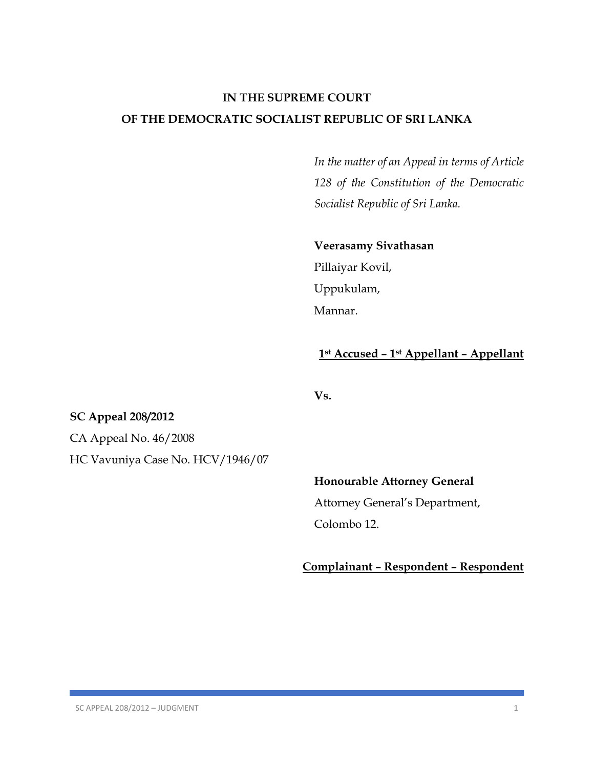# **IN THE SUPREME COURT OF THE DEMOCRATIC SOCIALIST REPUBLIC OF SRI LANKA**

*In the matter of an Appeal in terms of Article 128 of the Constitution of the Democratic Socialist Republic of Sri Lanka.*

### **Veerasamy Sivathasan**

Pillaiyar Kovil, Uppukulam, Mannar.

## **1st Accused – 1st Appellant – Appellant**

**Vs.**

## **SC Appeal 208/2012**

CA Appeal No. 46/2008 HC Vavuniya Case No. HCV/1946/07

### **Honourable Attorney General**

Attorney General's Department, Colombo 12.

**Complainant – Respondent – Respondent**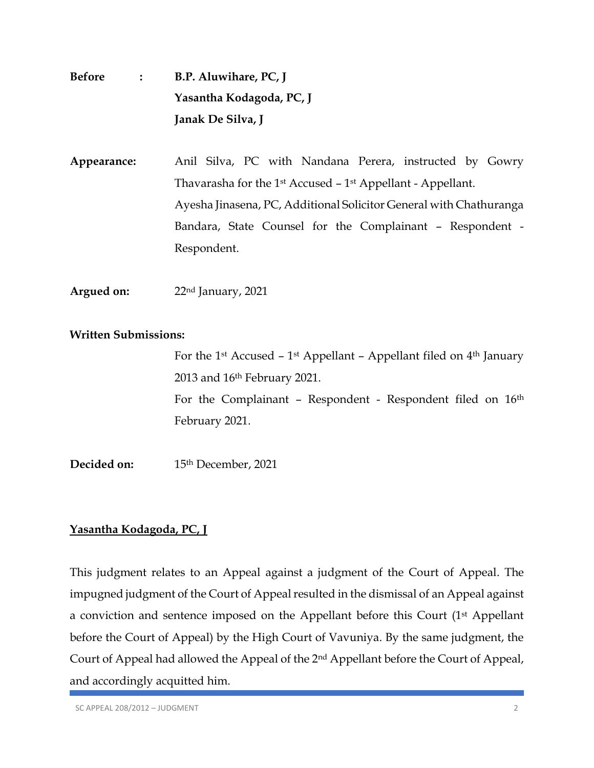| <b>Before</b> | $\mathbf{I}$ : $\mathbf{I}$ | B.P. Aluwihare, PC, J                                          |
|---------------|-----------------------------|----------------------------------------------------------------|
|               |                             | Yasantha Kodagoda, PC, J                                       |
|               |                             | Janak De Silva, J                                              |
| Appearance:   |                             | Anil Silva, PC with Nandana Perera, instructed by Gowry        |
|               |                             | Thavarasha for the $1st$ Accused $-1st$ Appellant - Appellant. |

Ayesha Jinasena, PC, Additional Solicitor General with Chathuranga Bandara, State Counsel for the Complainant – Respondent - Respondent.

**Argued on:** 22nd January, 2021

### **Written Submissions:**

For the 1<sup>st</sup> Accused – 1<sup>st</sup> Appellant – Appellant filed on  $4<sup>th</sup>$  January 2013 and 16th February 2021. For the Complainant - Respondent - Respondent filed on 16<sup>th</sup> February 2021.

**Decided on:** 15th December, 2021

## **Yasantha Kodagoda, PC, J**

This judgment relates to an Appeal against a judgment of the Court of Appeal. The impugned judgment of the Court of Appeal resulted in the dismissal of an Appeal against a conviction and sentence imposed on the Appellant before this Court (1st Appellant before the Court of Appeal) by the High Court of Vavuniya. By the same judgment, the Court of Appeal had allowed the Appeal of the 2nd Appellant before the Court of Appeal, and accordingly acquitted him.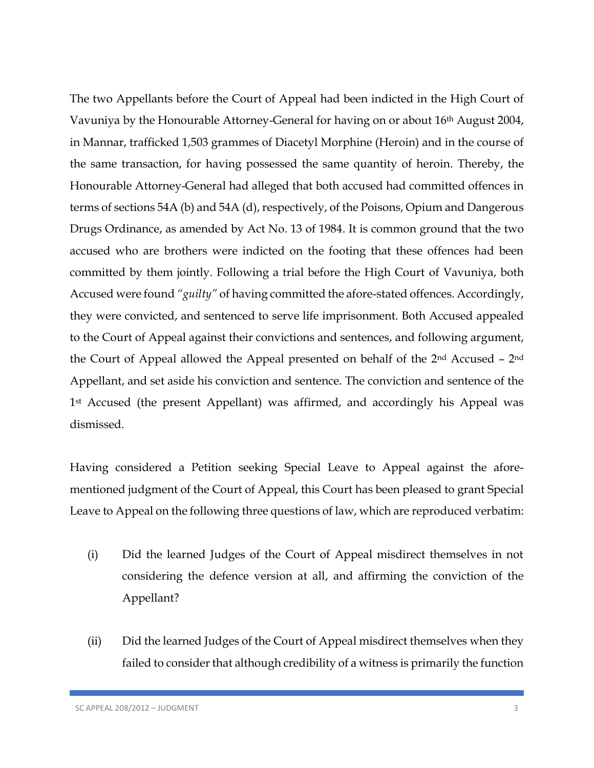The two Appellants before the Court of Appeal had been indicted in the High Court of Vavuniya by the Honourable Attorney-General for having on or about 16th August 2004, in Mannar, trafficked 1,503 grammes of Diacetyl Morphine (Heroin) and in the course of the same transaction, for having possessed the same quantity of heroin. Thereby, the Honourable Attorney-General had alleged that both accused had committed offences in terms of sections 54A (b) and 54A (d), respectively, of the Poisons, Opium and Dangerous Drugs Ordinance, as amended by Act No. 13 of 1984. It is common ground that the two accused who are brothers were indicted on the footing that these offences had been committed by them jointly. Following a trial before the High Court of Vavuniya, both Accused were found *"guilty"* of having committed the afore-stated offences. Accordingly, they were convicted, and sentenced to serve life imprisonment. Both Accused appealed to the Court of Appeal against their convictions and sentences, and following argument, the Court of Appeal allowed the Appeal presented on behalf of the 2nd Accused – 2nd Appellant, and set aside his conviction and sentence. The conviction and sentence of the 1st Accused (the present Appellant) was affirmed, and accordingly his Appeal was dismissed.

Having considered a Petition seeking Special Leave to Appeal against the aforementioned judgment of the Court of Appeal, this Court has been pleased to grant Special Leave to Appeal on the following three questions of law, which are reproduced verbatim:

- (i) Did the learned Judges of the Court of Appeal misdirect themselves in not considering the defence version at all, and affirming the conviction of the Appellant?
- (ii) Did the learned Judges of the Court of Appeal misdirect themselves when they failed to consider that although credibility of a witness is primarily the function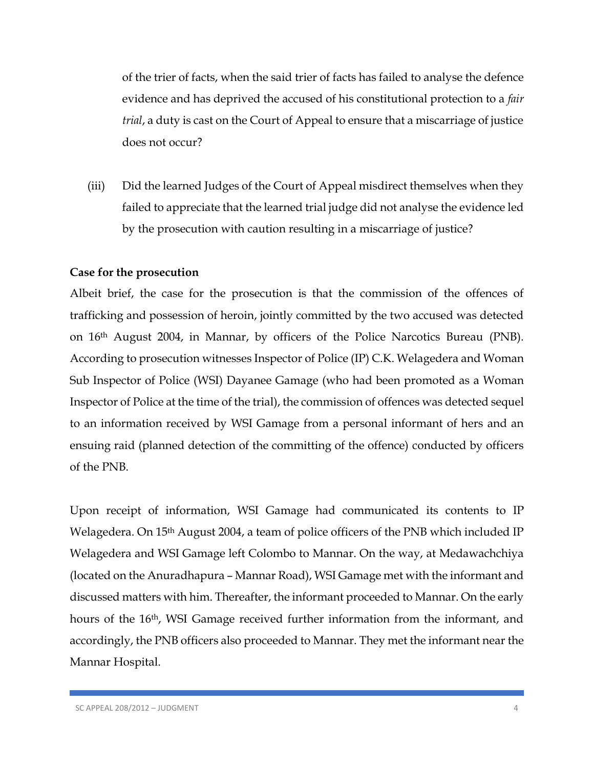of the trier of facts, when the said trier of facts has failed to analyse the defence evidence and has deprived the accused of his constitutional protection to a *fair trial*, a duty is cast on the Court of Appeal to ensure that a miscarriage of justice does not occur?

(iii) Did the learned Judges of the Court of Appeal misdirect themselves when they failed to appreciate that the learned trial judge did not analyse the evidence led by the prosecution with caution resulting in a miscarriage of justice?

### **Case for the prosecution**

Albeit brief, the case for the prosecution is that the commission of the offences of trafficking and possession of heroin, jointly committed by the two accused was detected on 16th August 2004, in Mannar, by officers of the Police Narcotics Bureau (PNB). According to prosecution witnesses Inspector of Police (IP) C.K. Welagedera and Woman Sub Inspector of Police (WSI) Dayanee Gamage (who had been promoted as a Woman Inspector of Police at the time of the trial), the commission of offences was detected sequel to an information received by WSI Gamage from a personal informant of hers and an ensuing raid (planned detection of the committing of the offence) conducted by officers of the PNB.

Upon receipt of information, WSI Gamage had communicated its contents to IP Welagedera. On 15<sup>th</sup> August 2004, a team of police officers of the PNB which included IP Welagedera and WSI Gamage left Colombo to Mannar. On the way, at Medawachchiya (located on the Anuradhapura – Mannar Road), WSI Gamage met with the informant and discussed matters with him. Thereafter, the informant proceeded to Mannar. On the early hours of the 16<sup>th</sup>, WSI Gamage received further information from the informant, and accordingly, the PNB officers also proceeded to Mannar. They met the informant near the Mannar Hospital.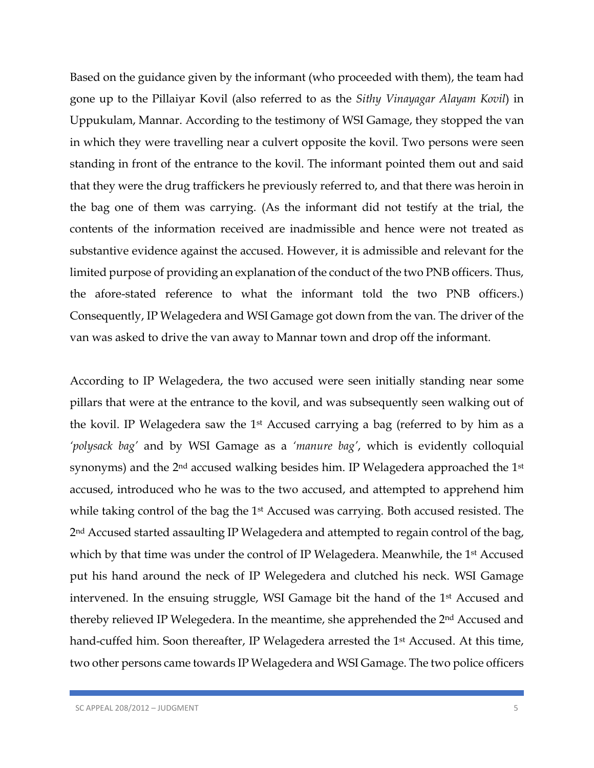Based on the guidance given by the informant (who proceeded with them), the team had gone up to the Pillaiyar Kovil (also referred to as the *Sithy Vinayagar Alayam Kovil*) in Uppukulam, Mannar. According to the testimony of WSI Gamage, they stopped the van in which they were travelling near a culvert opposite the kovil. Two persons were seen standing in front of the entrance to the kovil. The informant pointed them out and said that they were the drug traffickers he previously referred to, and that there was heroin in the bag one of them was carrying. (As the informant did not testify at the trial, the contents of the information received are inadmissible and hence were not treated as substantive evidence against the accused. However, it is admissible and relevant for the limited purpose of providing an explanation of the conduct of the two PNB officers. Thus, the afore-stated reference to what the informant told the two PNB officers.) Consequently, IP Welagedera and WSI Gamage got down from the van. The driver of the van was asked to drive the van away to Mannar town and drop off the informant.

According to IP Welagedera, the two accused were seen initially standing near some pillars that were at the entrance to the kovil, and was subsequently seen walking out of the kovil. IP Welagedera saw the 1st Accused carrying a bag (referred to by him as a *'polysack bag'* and by WSI Gamage as a *'manure bag'*, which is evidently colloquial synonyms) and the 2<sup>nd</sup> accused walking besides him. IP Welagedera approached the 1<sup>st</sup> accused, introduced who he was to the two accused, and attempted to apprehend him while taking control of the bag the 1st Accused was carrying. Both accused resisted. The 2<sup>nd</sup> Accused started assaulting IP Welagedera and attempted to regain control of the bag, which by that time was under the control of IP Welagedera. Meanwhile, the 1<sup>st</sup> Accused put his hand around the neck of IP Welegedera and clutched his neck. WSI Gamage intervened. In the ensuing struggle, WSI Gamage bit the hand of the 1st Accused and thereby relieved IP Welegedera. In the meantime, she apprehended the 2nd Accused and hand-cuffed him. Soon thereafter, IP Welagedera arrested the 1<sup>st</sup> Accused. At this time, two other persons came towards IP Welagedera and WSI Gamage. The two police officers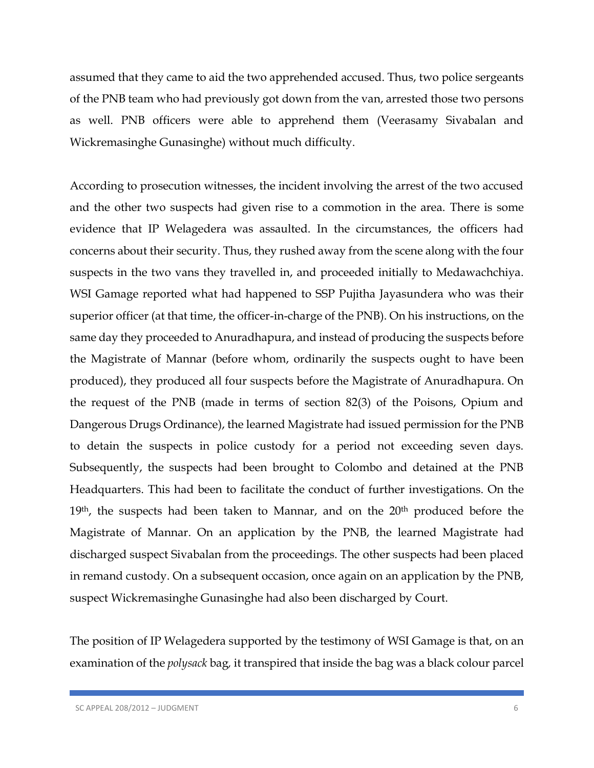assumed that they came to aid the two apprehended accused. Thus, two police sergeants of the PNB team who had previously got down from the van, arrested those two persons as well. PNB officers were able to apprehend them (Veerasamy Sivabalan and Wickremasinghe Gunasinghe) without much difficulty.

According to prosecution witnesses, the incident involving the arrest of the two accused and the other two suspects had given rise to a commotion in the area. There is some evidence that IP Welagedera was assaulted. In the circumstances, the officers had concerns about their security. Thus, they rushed away from the scene along with the four suspects in the two vans they travelled in, and proceeded initially to Medawachchiya. WSI Gamage reported what had happened to SSP Pujitha Jayasundera who was their superior officer (at that time, the officer-in-charge of the PNB). On his instructions, on the same day they proceeded to Anuradhapura, and instead of producing the suspects before the Magistrate of Mannar (before whom, ordinarily the suspects ought to have been produced), they produced all four suspects before the Magistrate of Anuradhapura. On the request of the PNB (made in terms of section 82(3) of the Poisons, Opium and Dangerous Drugs Ordinance), the learned Magistrate had issued permission for the PNB to detain the suspects in police custody for a period not exceeding seven days. Subsequently, the suspects had been brought to Colombo and detained at the PNB Headquarters. This had been to facilitate the conduct of further investigations. On the 19<sup>th</sup>, the suspects had been taken to Mannar, and on the 20<sup>th</sup> produced before the Magistrate of Mannar. On an application by the PNB, the learned Magistrate had discharged suspect Sivabalan from the proceedings. The other suspects had been placed in remand custody. On a subsequent occasion, once again on an application by the PNB, suspect Wickremasinghe Gunasinghe had also been discharged by Court.

The position of IP Welagedera supported by the testimony of WSI Gamage is that, on an examination of the *polysack* bag*,* it transpired that inside the bag was a black colour parcel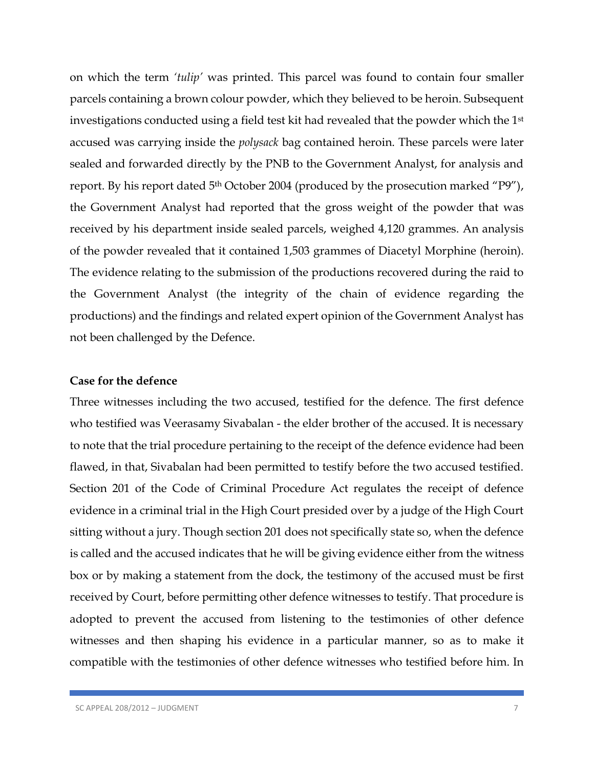on which the term *'tulip'* was printed. This parcel was found to contain four smaller parcels containing a brown colour powder, which they believed to be heroin. Subsequent investigations conducted using a field test kit had revealed that the powder which the 1st accused was carrying inside the *polysack* bag contained heroin. These parcels were later sealed and forwarded directly by the PNB to the Government Analyst, for analysis and report. By his report dated 5<sup>th</sup> October 2004 (produced by the prosecution marked "P9"), the Government Analyst had reported that the gross weight of the powder that was received by his department inside sealed parcels, weighed 4,120 grammes. An analysis of the powder revealed that it contained 1,503 grammes of Diacetyl Morphine (heroin). The evidence relating to the submission of the productions recovered during the raid to the Government Analyst (the integrity of the chain of evidence regarding the productions) and the findings and related expert opinion of the Government Analyst has not been challenged by the Defence.

### **Case for the defence**

Three witnesses including the two accused, testified for the defence. The first defence who testified was Veerasamy Sivabalan - the elder brother of the accused. It is necessary to note that the trial procedure pertaining to the receipt of the defence evidence had been flawed, in that, Sivabalan had been permitted to testify before the two accused testified. Section 201 of the Code of Criminal Procedure Act regulates the receipt of defence evidence in a criminal trial in the High Court presided over by a judge of the High Court sitting without a jury. Though section 201 does not specifically state so, when the defence is called and the accused indicates that he will be giving evidence either from the witness box or by making a statement from the dock, the testimony of the accused must be first received by Court, before permitting other defence witnesses to testify. That procedure is adopted to prevent the accused from listening to the testimonies of other defence witnesses and then shaping his evidence in a particular manner, so as to make it compatible with the testimonies of other defence witnesses who testified before him. In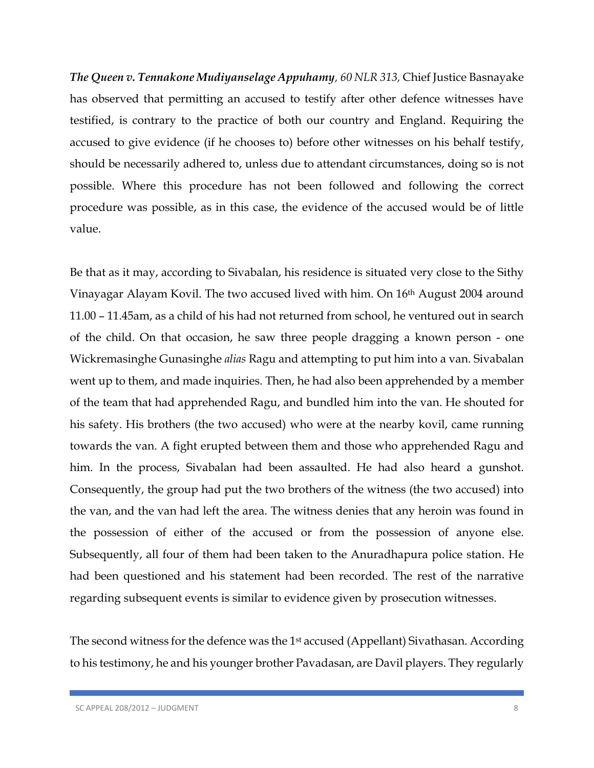*The Queen v. Tennakone Mudiyanselage Appuhamy, 60 NLR 313,* Chief Justice Basnayake has observed that permitting an accused to testify after other defence witnesses have testified, is contrary to the practice of both our country and England. Requiring the accused to give evidence (if he chooses to) before other witnesses on his behalf testify, should be necessarily adhered to, unless due to attendant circumstances, doing so is not possible. Where this procedure has not been followed and following the correct procedure was possible, as in this case, the evidence of the accused would be of little value.

Be that as it may, according to Sivabalan, his residence is situated very close to the Sithy Vinayagar Alayam Kovil. The two accused lived with him. On 16th August 2004 around 11.00 – 11.45am, as a child of his had not returned from school, he ventured out in search of the child. On that occasion, he saw three people dragging a known person - one Wickremasinghe Gunasinghe *alias* Ragu and attempting to put him into a van. Sivabalan went up to them, and made inquiries. Then, he had also been apprehended by a member of the team that had apprehended Ragu, and bundled him into the van. He shouted for his safety. His brothers (the two accused) who were at the nearby kovil, came running towards the van. A fight erupted between them and those who apprehended Ragu and him. In the process, Sivabalan had been assaulted. He had also heard a gunshot. Consequently, the group had put the two brothers of the witness (the two accused) into the van, and the van had left the area. The witness denies that any heroin was found in the possession of either of the accused or from the possession of anyone else. Subsequently, all four of them had been taken to the Anuradhapura police station. He had been questioned and his statement had been recorded. The rest of the narrative regarding subsequent events is similar to evidence given by prosecution witnesses.

The second witness for the defence was the 1<sup>st</sup> accused (Appellant) Sivathasan. According to his testimony, he and his younger brother Pavadasan, are Davil players. They regularly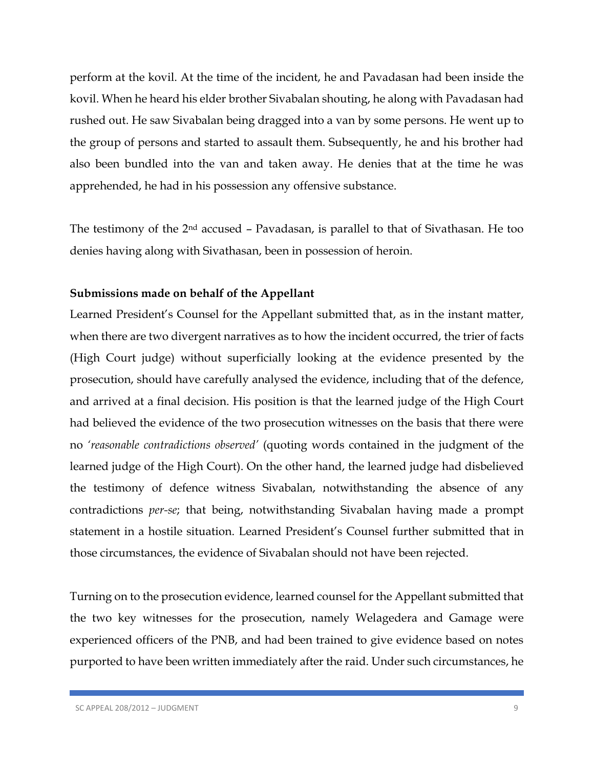perform at the kovil. At the time of the incident, he and Pavadasan had been inside the kovil. When he heard his elder brother Sivabalan shouting, he along with Pavadasan had rushed out. He saw Sivabalan being dragged into a van by some persons. He went up to the group of persons and started to assault them. Subsequently, he and his brother had also been bundled into the van and taken away. He denies that at the time he was apprehended, he had in his possession any offensive substance.

The testimony of the 2nd accused – Pavadasan, is parallel to that of Sivathasan. He too denies having along with Sivathasan, been in possession of heroin.

### **Submissions made on behalf of the Appellant**

Learned President's Counsel for the Appellant submitted that, as in the instant matter, when there are two divergent narratives as to how the incident occurred, the trier of facts (High Court judge) without superficially looking at the evidence presented by the prosecution, should have carefully analysed the evidence, including that of the defence, and arrived at a final decision. His position is that the learned judge of the High Court had believed the evidence of the two prosecution witnesses on the basis that there were no *'reasonable contradictions observed'* (quoting words contained in the judgment of the learned judge of the High Court). On the other hand, the learned judge had disbelieved the testimony of defence witness Sivabalan, notwithstanding the absence of any contradictions *per-se*; that being, notwithstanding Sivabalan having made a prompt statement in a hostile situation. Learned President's Counsel further submitted that in those circumstances, the evidence of Sivabalan should not have been rejected.

Turning on to the prosecution evidence, learned counsel for the Appellant submitted that the two key witnesses for the prosecution, namely Welagedera and Gamage were experienced officers of the PNB, and had been trained to give evidence based on notes purported to have been written immediately after the raid. Under such circumstances, he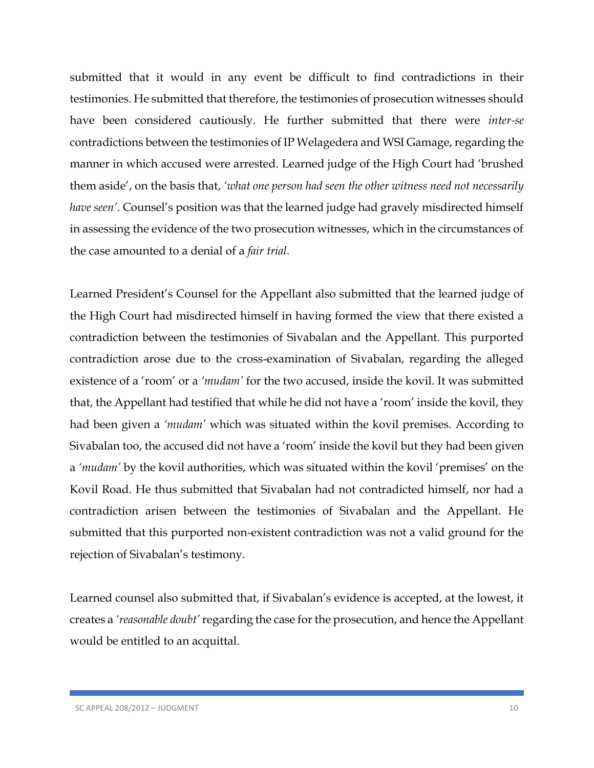submitted that it would in any event be difficult to find contradictions in their testimonies. He submitted that therefore, the testimonies of prosecution witnesses should have been considered cautiously. He further submitted that there were *inter-se*  contradictions between the testimonies of IP Welagedera and WSI Gamage, regarding the manner in which accused were arrested. Learned judge of the High Court had 'brushed them aside', on the basis that, *'what one person had seen the other witness need not necessarily have seen'*. Counsel's position was that the learned judge had gravely misdirected himself in assessing the evidence of the two prosecution witnesses, which in the circumstances of the case amounted to a denial of a *fair trial*.

Learned President's Counsel for the Appellant also submitted that the learned judge of the High Court had misdirected himself in having formed the view that there existed a contradiction between the testimonies of Sivabalan and the Appellant. This purported contradiction arose due to the cross-examination of Sivabalan, regarding the alleged existence of a 'room' or a *'mudam'* for the two accused, inside the kovil. It was submitted that, the Appellant had testified that while he did not have a 'room' inside the kovil, they had been given a *'mudam'* which was situated within the kovil premises. According to Sivabalan too, the accused did not have a 'room' inside the kovil but they had been given a *'mudam'* by the kovil authorities, which was situated within the kovil 'premises' on the Kovil Road. He thus submitted that Sivabalan had not contradicted himself, nor had a contradiction arisen between the testimonies of Sivabalan and the Appellant. He submitted that this purported non-existent contradiction was not a valid ground for the rejection of Sivabalan's testimony.

Learned counsel also submitted that, if Sivabalan's evidence is accepted, at the lowest, it creates a *'reasonable doubt'* regarding the case for the prosecution, and hence the Appellant would be entitled to an acquittal.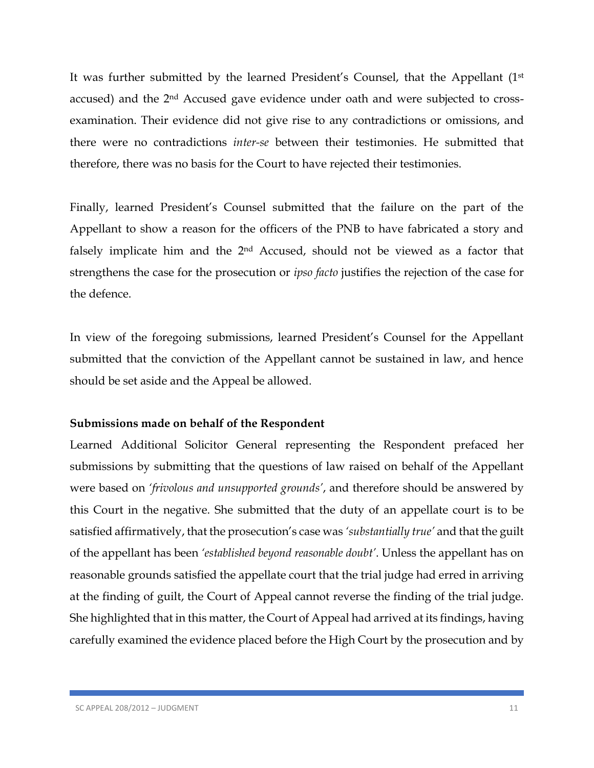It was further submitted by the learned President's Counsel, that the Appellant (1st accused) and the 2nd Accused gave evidence under oath and were subjected to crossexamination. Their evidence did not give rise to any contradictions or omissions, and there were no contradictions *inter-se* between their testimonies. He submitted that therefore, there was no basis for the Court to have rejected their testimonies.

Finally, learned President's Counsel submitted that the failure on the part of the Appellant to show a reason for the officers of the PNB to have fabricated a story and falsely implicate him and the 2nd Accused, should not be viewed as a factor that strengthens the case for the prosecution or *ipso facto* justifies the rejection of the case for the defence.

In view of the foregoing submissions, learned President's Counsel for the Appellant submitted that the conviction of the Appellant cannot be sustained in law, and hence should be set aside and the Appeal be allowed.

### **Submissions made on behalf of the Respondent**

Learned Additional Solicitor General representing the Respondent prefaced her submissions by submitting that the questions of law raised on behalf of the Appellant were based on *'frivolous and unsupported grounds'*, and therefore should be answered by this Court in the negative. She submitted that the duty of an appellate court is to be satisfied affirmatively, that the prosecution's case was *'substantially true'* and that the guilt of the appellant has been *'established beyond reasonable doubt'*. Unless the appellant has on reasonable grounds satisfied the appellate court that the trial judge had erred in arriving at the finding of guilt, the Court of Appeal cannot reverse the finding of the trial judge. She highlighted that in this matter, the Court of Appeal had arrived at its findings, having carefully examined the evidence placed before the High Court by the prosecution and by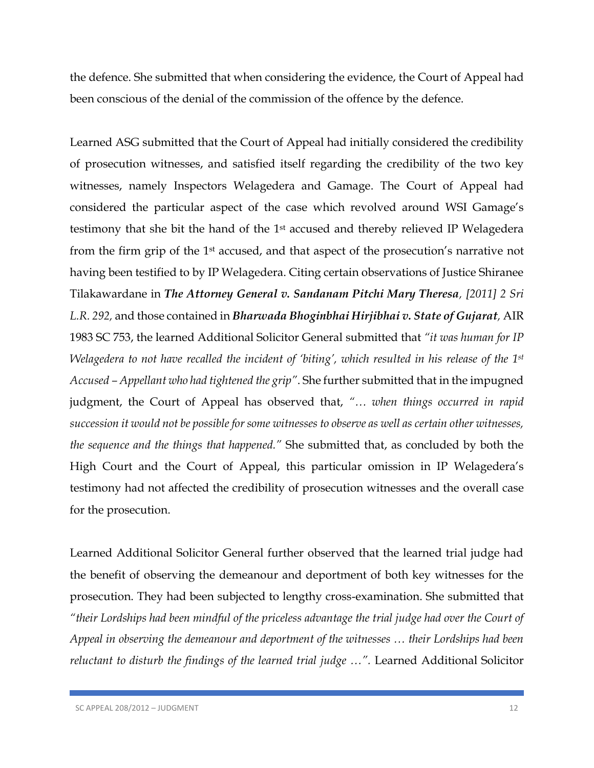the defence. She submitted that when considering the evidence, the Court of Appeal had been conscious of the denial of the commission of the offence by the defence.

Learned ASG submitted that the Court of Appeal had initially considered the credibility of prosecution witnesses, and satisfied itself regarding the credibility of the two key witnesses, namely Inspectors Welagedera and Gamage. The Court of Appeal had considered the particular aspect of the case which revolved around WSI Gamage's testimony that she bit the hand of the 1st accused and thereby relieved IP Welagedera from the firm grip of the 1<sup>st</sup> accused, and that aspect of the prosecution's narrative not having been testified to by IP Welagedera. Citing certain observations of Justice Shiranee Tilakawardane in *The Attorney General v. Sandanam Pitchi Mary Theresa, [2011] 2 Sri L.R. 292,* and those contained in *Bharwada Bhoginbhai Hirjibhai v. State of Gujarat,* AIR 1983 SC 753, the learned Additional Solicitor General submitted that *"it was human for IP Welagedera to not have recalled the incident of 'biting', which resulted in his release of the 1st Accused – Appellant who had tightened the grip"*. She further submitted that in the impugned judgment, the Court of Appeal has observed that, *"… when things occurred in rapid succession it would not be possible for some witnesses to observe as well as certain other witnesses, the sequence and the things that happened."* She submitted that, as concluded by both the High Court and the Court of Appeal, this particular omission in IP Welagedera's testimony had not affected the credibility of prosecution witnesses and the overall case for the prosecution.

Learned Additional Solicitor General further observed that the learned trial judge had the benefit of observing the demeanour and deportment of both key witnesses for the prosecution. They had been subjected to lengthy cross-examination. She submitted that *"their Lordships had been mindful of the priceless advantage the trial judge had over the Court of Appeal in observing the demeanour and deportment of the witnesses … their Lordships had been reluctant to disturb the findings of the learned trial judge …".* Learned Additional Solicitor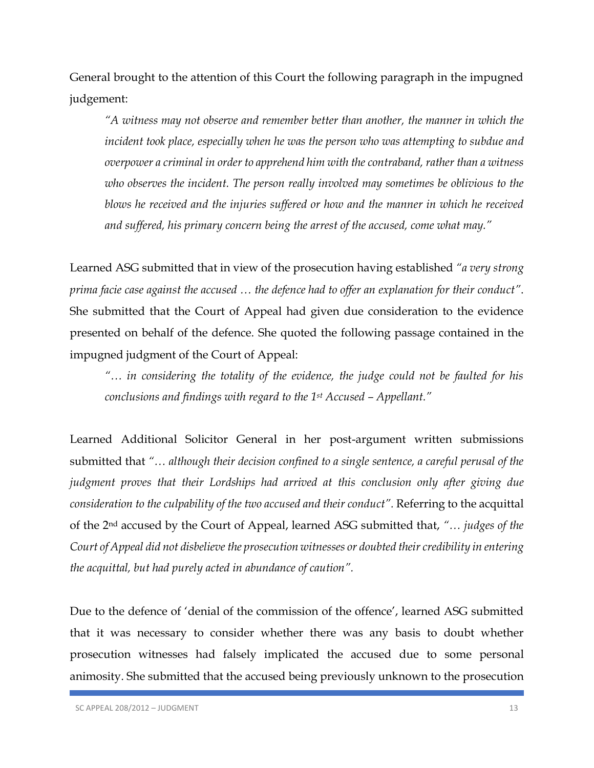General brought to the attention of this Court the following paragraph in the impugned judgement:

*"A witness may not observe and remember better than another, the manner in which the incident took place, especially when he was the person who was attempting to subdue and overpower a criminal in order to apprehend him with the contraband, rather than a witness who observes the incident. The person really involved may sometimes be oblivious to the blows he received and the injuries suffered or how and the manner in which he received and suffered, his primary concern being the arrest of the accused, come what may."*

Learned ASG submitted that in view of the prosecution having established *"a very strong prima facie case against the accused … the defence had to offer an explanation for their conduct"*. She submitted that the Court of Appeal had given due consideration to the evidence presented on behalf of the defence. She quoted the following passage contained in the impugned judgment of the Court of Appeal:

*"… in considering the totality of the evidence, the judge could not be faulted for his conclusions and findings with regard to the 1st Accused – Appellant."*

Learned Additional Solicitor General in her post-argument written submissions submitted that *"… although their decision confined to a single sentence, a careful perusal of the judgment proves that their Lordships had arrived at this conclusion only after giving due consideration to the culpability of the two accused and their conduct".* Referring to the acquittal of the 2nd accused by the Court of Appeal, learned ASG submitted that, *"… judges of the Court of Appeal did not disbelieve the prosecution witnesses or doubted their credibility in entering the acquittal, but had purely acted in abundance of caution".* 

Due to the defence of 'denial of the commission of the offence', learned ASG submitted that it was necessary to consider whether there was any basis to doubt whether prosecution witnesses had falsely implicated the accused due to some personal animosity. She submitted that the accused being previously unknown to the prosecution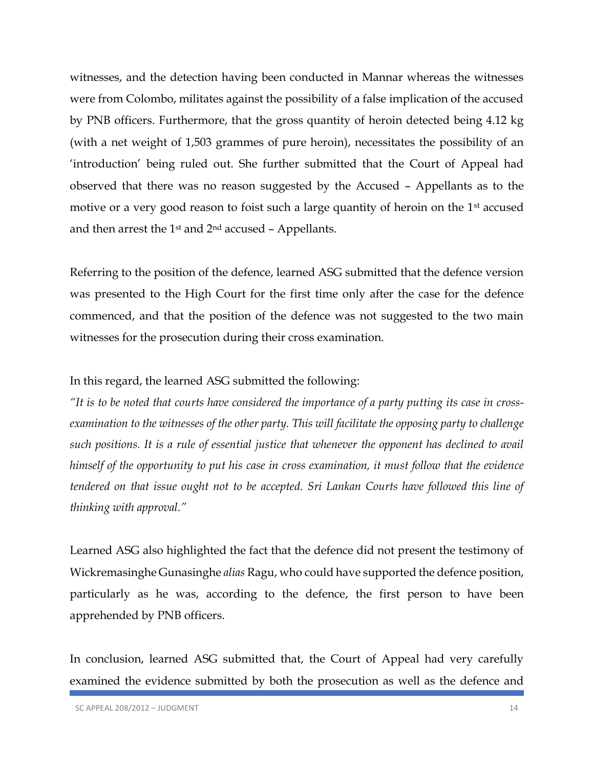witnesses, and the detection having been conducted in Mannar whereas the witnesses were from Colombo, militates against the possibility of a false implication of the accused by PNB officers. Furthermore, that the gross quantity of heroin detected being 4.12 kg (with a net weight of 1,503 grammes of pure heroin), necessitates the possibility of an 'introduction' being ruled out. She further submitted that the Court of Appeal had observed that there was no reason suggested by the Accused – Appellants as to the motive or a very good reason to foist such a large quantity of heroin on the 1<sup>st</sup> accused and then arrest the  $1<sup>st</sup>$  and  $2<sup>nd</sup>$  accused – Appellants.

Referring to the position of the defence, learned ASG submitted that the defence version was presented to the High Court for the first time only after the case for the defence commenced, and that the position of the defence was not suggested to the two main witnesses for the prosecution during their cross examination.

#### In this regard, the learned ASG submitted the following:

*"It is to be noted that courts have considered the importance of a party putting its case in crossexamination to the witnesses of the other party. This will facilitate the opposing party to challenge such positions. It is a rule of essential justice that whenever the opponent has declined to avail himself of the opportunity to put his case in cross examination, it must follow that the evidence tendered on that issue ought not to be accepted. Sri Lankan Courts have followed this line of thinking with approval."*

Learned ASG also highlighted the fact that the defence did not present the testimony of Wickremasinghe Gunasinghe *alias* Ragu, who could have supported the defence position, particularly as he was, according to the defence, the first person to have been apprehended by PNB officers.

In conclusion, learned ASG submitted that, the Court of Appeal had very carefully examined the evidence submitted by both the prosecution as well as the defence and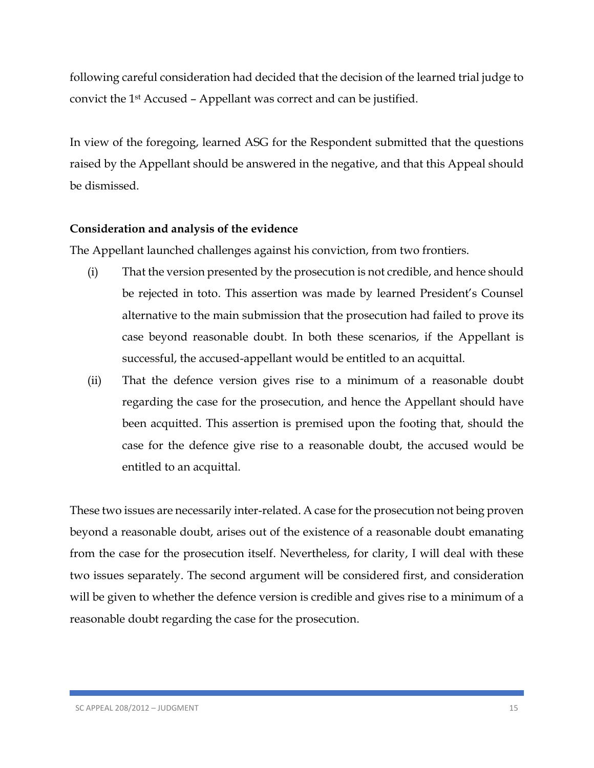following careful consideration had decided that the decision of the learned trial judge to convict the 1st Accused – Appellant was correct and can be justified.

In view of the foregoing, learned ASG for the Respondent submitted that the questions raised by the Appellant should be answered in the negative, and that this Appeal should be dismissed.

## **Consideration and analysis of the evidence**

The Appellant launched challenges against his conviction, from two frontiers.

- (i) That the version presented by the prosecution is not credible, and hence should be rejected in toto. This assertion was made by learned President's Counsel alternative to the main submission that the prosecution had failed to prove its case beyond reasonable doubt. In both these scenarios, if the Appellant is successful, the accused-appellant would be entitled to an acquittal.
- (ii) That the defence version gives rise to a minimum of a reasonable doubt regarding the case for the prosecution, and hence the Appellant should have been acquitted. This assertion is premised upon the footing that, should the case for the defence give rise to a reasonable doubt, the accused would be entitled to an acquittal.

These two issues are necessarily inter-related. A case for the prosecution not being proven beyond a reasonable doubt, arises out of the existence of a reasonable doubt emanating from the case for the prosecution itself. Nevertheless, for clarity, I will deal with these two issues separately. The second argument will be considered first, and consideration will be given to whether the defence version is credible and gives rise to a minimum of a reasonable doubt regarding the case for the prosecution.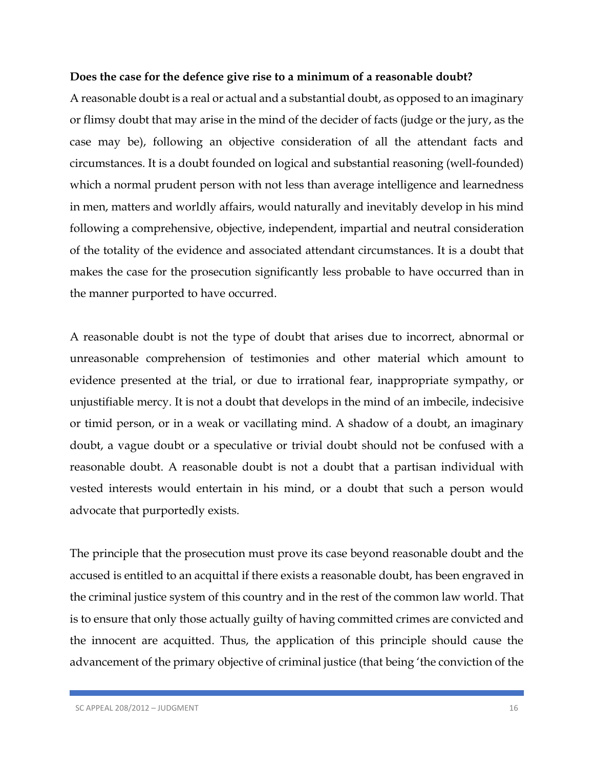#### **Does the case for the defence give rise to a minimum of a reasonable doubt?**

A reasonable doubt is a real or actual and a substantial doubt, as opposed to an imaginary or flimsy doubt that may arise in the mind of the decider of facts (judge or the jury, as the case may be), following an objective consideration of all the attendant facts and circumstances. It is a doubt founded on logical and substantial reasoning (well-founded) which a normal prudent person with not less than average intelligence and learnedness in men, matters and worldly affairs, would naturally and inevitably develop in his mind following a comprehensive, objective, independent, impartial and neutral consideration of the totality of the evidence and associated attendant circumstances. It is a doubt that makes the case for the prosecution significantly less probable to have occurred than in the manner purported to have occurred.

A reasonable doubt is not the type of doubt that arises due to incorrect, abnormal or unreasonable comprehension of testimonies and other material which amount to evidence presented at the trial, or due to irrational fear, inappropriate sympathy, or unjustifiable mercy. It is not a doubt that develops in the mind of an imbecile, indecisive or timid person, or in a weak or vacillating mind. A shadow of a doubt, an imaginary doubt, a vague doubt or a speculative or trivial doubt should not be confused with a reasonable doubt. A reasonable doubt is not a doubt that a partisan individual with vested interests would entertain in his mind, or a doubt that such a person would advocate that purportedly exists.

The principle that the prosecution must prove its case beyond reasonable doubt and the accused is entitled to an acquittal if there exists a reasonable doubt, has been engraved in the criminal justice system of this country and in the rest of the common law world. That is to ensure that only those actually guilty of having committed crimes are convicted and the innocent are acquitted. Thus, the application of this principle should cause the advancement of the primary objective of criminal justice (that being 'the conviction of the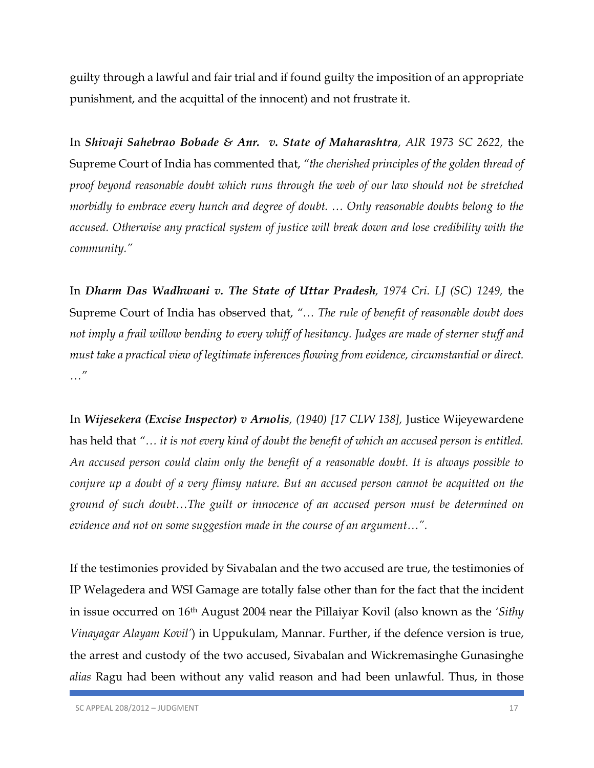guilty through a lawful and fair trial and if found guilty the imposition of an appropriate punishment, and the acquittal of the innocent) and not frustrate it.

In *Shivaji Sahebrao Bobade & Anr. v. State of Maharashtra, AIR 1973 SC 2622,* the Supreme Court of India has commented that, *"the cherished principles of the golden thread of proof beyond reasonable doubt which runs through the web of our law should not be stretched morbidly to embrace every hunch and degree of doubt. … Only reasonable doubts belong to the accused. Otherwise any practical system of justice will break down and lose credibility with the community."* 

In *Dharm Das Wadhwani v. The State of Uttar Pradesh, 1974 Cri. LJ (SC) 1249,* the Supreme Court of India has observed that, *"… The rule of benefit of reasonable doubt does not imply a frail willow bending to every whiff of hesitancy. Judges are made of sterner stuff and must take a practical view of legitimate inferences flowing from evidence, circumstantial or direct. …"*

In *Wijesekera (Excise Inspector) v Arnolis, (1940) [17 CLW 138],* Justice Wijeyewardene has held that *"… it is not every kind of doubt the benefit of which an accused person is entitled. An accused person could claim only the benefit of a reasonable doubt. It is always possible to conjure up a doubt of a very flimsy nature. But an accused person cannot be acquitted on the ground of such doubt…The guilt or innocence of an accused person must be determined on evidence and not on some suggestion made in the course of an argument…".*

If the testimonies provided by Sivabalan and the two accused are true, the testimonies of IP Welagedera and WSI Gamage are totally false other than for the fact that the incident in issue occurred on 16th August 2004 near the Pillaiyar Kovil (also known as the *'Sithy Vinayagar Alayam Kovil'*) in Uppukulam, Mannar. Further, if the defence version is true, the arrest and custody of the two accused, Sivabalan and Wickremasinghe Gunasinghe *alias* Ragu had been without any valid reason and had been unlawful. Thus, in those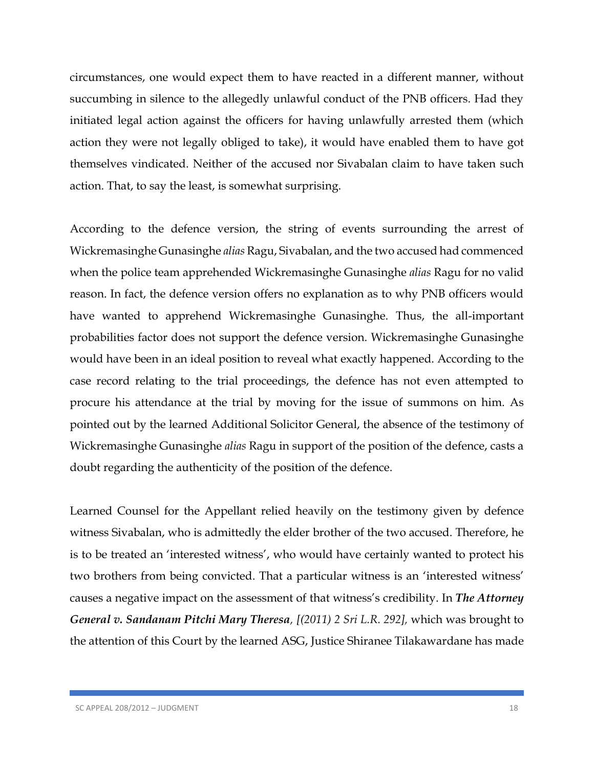circumstances, one would expect them to have reacted in a different manner, without succumbing in silence to the allegedly unlawful conduct of the PNB officers. Had they initiated legal action against the officers for having unlawfully arrested them (which action they were not legally obliged to take), it would have enabled them to have got themselves vindicated. Neither of the accused nor Sivabalan claim to have taken such action. That, to say the least, is somewhat surprising.

According to the defence version, the string of events surrounding the arrest of Wickremasinghe Gunasinghe *alias* Ragu, Sivabalan, and the two accused had commenced when the police team apprehended Wickremasinghe Gunasinghe *alias* Ragu for no valid reason. In fact, the defence version offers no explanation as to why PNB officers would have wanted to apprehend Wickremasinghe Gunasinghe. Thus, the all-important probabilities factor does not support the defence version. Wickremasinghe Gunasinghe would have been in an ideal position to reveal what exactly happened. According to the case record relating to the trial proceedings, the defence has not even attempted to procure his attendance at the trial by moving for the issue of summons on him. As pointed out by the learned Additional Solicitor General, the absence of the testimony of Wickremasinghe Gunasinghe *alias* Ragu in support of the position of the defence, casts a doubt regarding the authenticity of the position of the defence.

Learned Counsel for the Appellant relied heavily on the testimony given by defence witness Sivabalan, who is admittedly the elder brother of the two accused. Therefore, he is to be treated an 'interested witness', who would have certainly wanted to protect his two brothers from being convicted. That a particular witness is an 'interested witness' causes a negative impact on the assessment of that witness's credibility. In *The Attorney General v. Sandanam Pitchi Mary Theresa, [(2011) 2 Sri L.R. 292],* which was brought to the attention of this Court by the learned ASG, Justice Shiranee Tilakawardane has made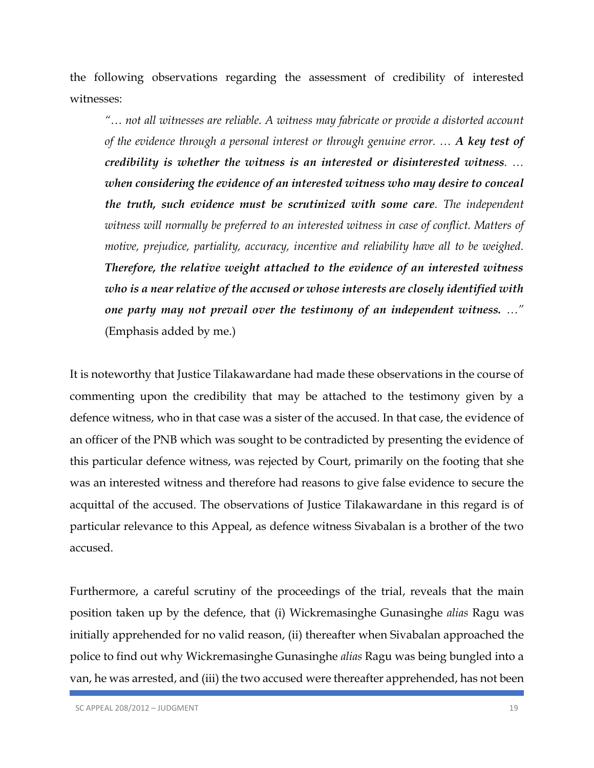the following observations regarding the assessment of credibility of interested witnesses:

*"… not all witnesses are reliable. A witness may fabricate or provide a distorted account of the evidence through a personal interest or through genuine error. … A key test of credibility is whether the witness is an interested or disinterested witness. … when considering the evidence of an interested witness who may desire to conceal the truth, such evidence must be scrutinized with some care. The independent*  witness will normally be preferred to an interested witness in case of conflict. Matters of *motive, prejudice, partiality, accuracy, incentive and reliability have all to be weighed. Therefore, the relative weight attached to the evidence of an interested witness who is a near relative of the accused or whose interests are closely identified with one party may not prevail over the testimony of an independent witness. …"* (Emphasis added by me.)

It is noteworthy that Justice Tilakawardane had made these observations in the course of commenting upon the credibility that may be attached to the testimony given by a defence witness, who in that case was a sister of the accused. In that case, the evidence of an officer of the PNB which was sought to be contradicted by presenting the evidence of this particular defence witness, was rejected by Court, primarily on the footing that she was an interested witness and therefore had reasons to give false evidence to secure the acquittal of the accused. The observations of Justice Tilakawardane in this regard is of particular relevance to this Appeal, as defence witness Sivabalan is a brother of the two accused.

Furthermore, a careful scrutiny of the proceedings of the trial, reveals that the main position taken up by the defence, that (i) Wickremasinghe Gunasinghe *alias* Ragu was initially apprehended for no valid reason, (ii) thereafter when Sivabalan approached the police to find out why Wickremasinghe Gunasinghe *alias* Ragu was being bungled into a van, he was arrested, and (iii) the two accused were thereafter apprehended, has not been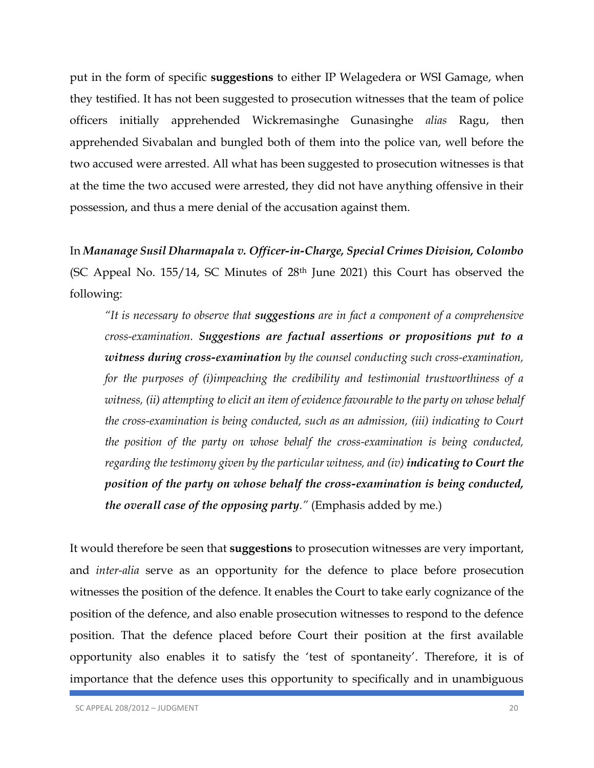put in the form of specific **suggestions** to either IP Welagedera or WSI Gamage, when they testified. It has not been suggested to prosecution witnesses that the team of police officers initially apprehended Wickremasinghe Gunasinghe *alias* Ragu, then apprehended Sivabalan and bungled both of them into the police van, well before the two accused were arrested. All what has been suggested to prosecution witnesses is that at the time the two accused were arrested, they did not have anything offensive in their possession, and thus a mere denial of the accusation against them.

In *Mananage Susil Dharmapala v. Officer-in-Charge, Special Crimes Division, Colombo* (SC Appeal No. 155/14, SC Minutes of 28th June 2021) this Court has observed the following:

*"It is necessary to observe that suggestions are in fact a component of a comprehensive cross-examination. Suggestions are factual assertions or propositions put to a witness during cross-examination by the counsel conducting such cross-examination, for the purposes of (i)impeaching the credibility and testimonial trustworthiness of a witness, (ii) attempting to elicit an item of evidence favourable to the party on whose behalf the cross-examination is being conducted, such as an admission, (iii) indicating to Court the position of the party on whose behalf the cross-examination is being conducted, regarding the testimony given by the particular witness, and (iv) indicating to Court the position of the party on whose behalf the cross-examination is being conducted, the overall case of the opposing party."* (Emphasis added by me.)

It would therefore be seen that **suggestions** to prosecution witnesses are very important, and *inter-alia* serve as an opportunity for the defence to place before prosecution witnesses the position of the defence. It enables the Court to take early cognizance of the position of the defence, and also enable prosecution witnesses to respond to the defence position. That the defence placed before Court their position at the first available opportunity also enables it to satisfy the 'test of spontaneity'. Therefore, it is of importance that the defence uses this opportunity to specifically and in unambiguous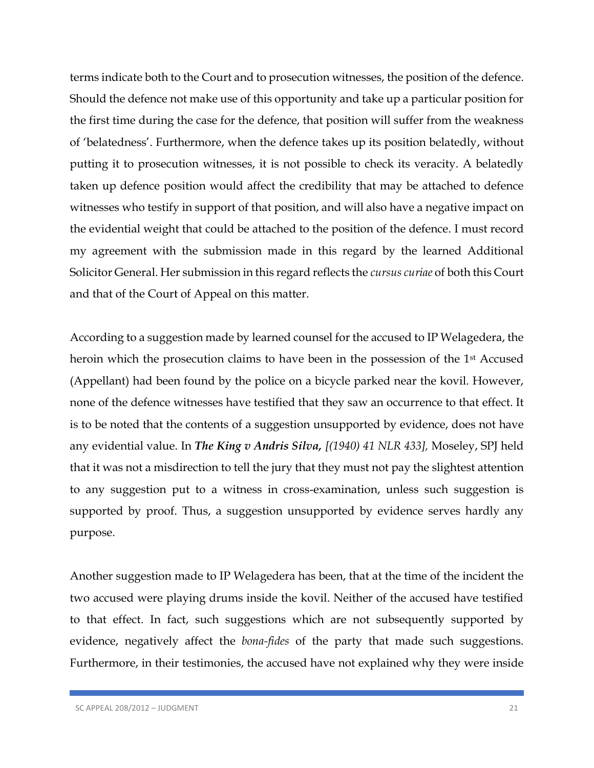terms indicate both to the Court and to prosecution witnesses, the position of the defence. Should the defence not make use of this opportunity and take up a particular position for the first time during the case for the defence, that position will suffer from the weakness of 'belatedness'. Furthermore, when the defence takes up its position belatedly, without putting it to prosecution witnesses, it is not possible to check its veracity. A belatedly taken up defence position would affect the credibility that may be attached to defence witnesses who testify in support of that position, and will also have a negative impact on the evidential weight that could be attached to the position of the defence. I must record my agreement with the submission made in this regard by the learned Additional Solicitor General. Her submission in this regard reflects the *cursus curiae* of both this Court and that of the Court of Appeal on this matter.

According to a suggestion made by learned counsel for the accused to IP Welagedera, the heroin which the prosecution claims to have been in the possession of the 1<sup>st</sup> Accused (Appellant) had been found by the police on a bicycle parked near the kovil. However, none of the defence witnesses have testified that they saw an occurrence to that effect. It is to be noted that the contents of a suggestion unsupported by evidence, does not have any evidential value. In *The King v Andris Silva, [(1940) 41 NLR 433],* Moseley, SPJ held that it was not a misdirection to tell the jury that they must not pay the slightest attention to any suggestion put to a witness in cross-examination, unless such suggestion is supported by proof. Thus, a suggestion unsupported by evidence serves hardly any purpose.

Another suggestion made to IP Welagedera has been, that at the time of the incident the two accused were playing drums inside the kovil. Neither of the accused have testified to that effect. In fact, such suggestions which are not subsequently supported by evidence, negatively affect the *bona-fides* of the party that made such suggestions. Furthermore, in their testimonies, the accused have not explained why they were inside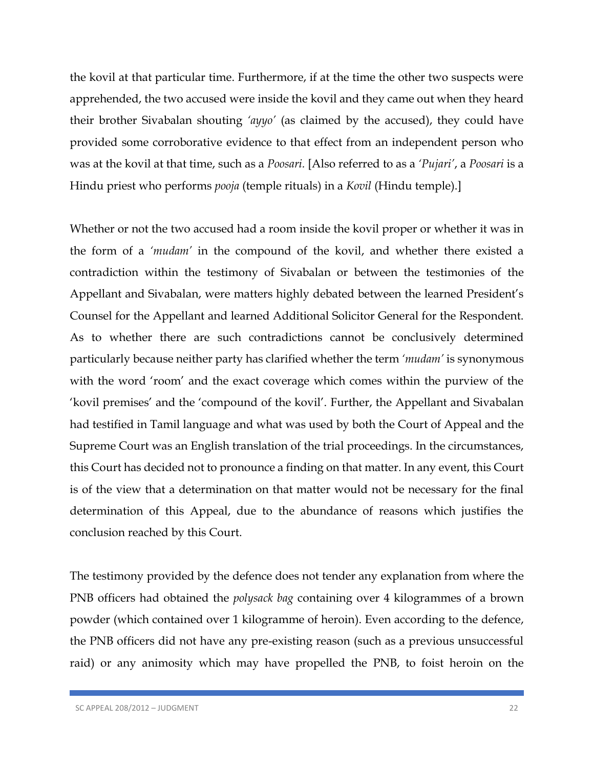the kovil at that particular time. Furthermore, if at the time the other two suspects were apprehended, the two accused were inside the kovil and they came out when they heard their brother Sivabalan shouting *'ayyo'* (as claimed by the accused), they could have provided some corroborative evidence to that effect from an independent person who was at the kovil at that time, such as a *Poosari.* [Also referred to as a *'Pujari'*, a *Poosari* is a Hindu priest who performs *pooja* (temple rituals) in a *Kovil* (Hindu temple).]

Whether or not the two accused had a room inside the kovil proper or whether it was in the form of a *'mudam'* in the compound of the kovil, and whether there existed a contradiction within the testimony of Sivabalan or between the testimonies of the Appellant and Sivabalan, were matters highly debated between the learned President's Counsel for the Appellant and learned Additional Solicitor General for the Respondent. As to whether there are such contradictions cannot be conclusively determined particularly because neither party has clarified whether the term *'mudam'* is synonymous with the word 'room' and the exact coverage which comes within the purview of the 'kovil premises' and the 'compound of the kovil'. Further, the Appellant and Sivabalan had testified in Tamil language and what was used by both the Court of Appeal and the Supreme Court was an English translation of the trial proceedings. In the circumstances, this Court has decided not to pronounce a finding on that matter. In any event, this Court is of the view that a determination on that matter would not be necessary for the final determination of this Appeal, due to the abundance of reasons which justifies the conclusion reached by this Court.

The testimony provided by the defence does not tender any explanation from where the PNB officers had obtained the *polysack bag* containing over 4 kilogrammes of a brown powder (which contained over 1 kilogramme of heroin). Even according to the defence, the PNB officers did not have any pre-existing reason (such as a previous unsuccessful raid) or any animosity which may have propelled the PNB, to foist heroin on the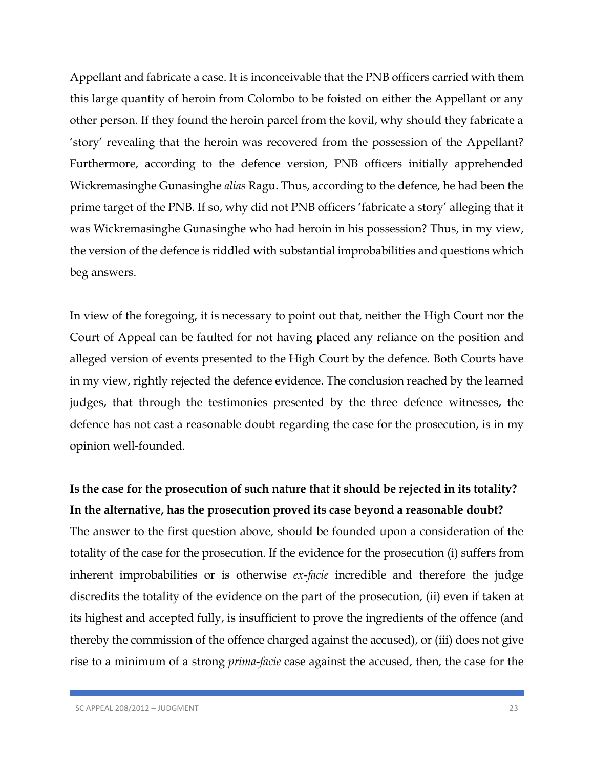Appellant and fabricate a case. It is inconceivable that the PNB officers carried with them this large quantity of heroin from Colombo to be foisted on either the Appellant or any other person. If they found the heroin parcel from the kovil, why should they fabricate a 'story' revealing that the heroin was recovered from the possession of the Appellant? Furthermore, according to the defence version, PNB officers initially apprehended Wickremasinghe Gunasinghe *alias* Ragu. Thus, according to the defence, he had been the prime target of the PNB. If so, why did not PNB officers 'fabricate a story' alleging that it was Wickremasinghe Gunasinghe who had heroin in his possession? Thus, in my view, the version of the defence is riddled with substantial improbabilities and questions which beg answers.

In view of the foregoing, it is necessary to point out that, neither the High Court nor the Court of Appeal can be faulted for not having placed any reliance on the position and alleged version of events presented to the High Court by the defence. Both Courts have in my view, rightly rejected the defence evidence. The conclusion reached by the learned judges, that through the testimonies presented by the three defence witnesses, the defence has not cast a reasonable doubt regarding the case for the prosecution, is in my opinion well-founded.

# **Is the case for the prosecution of such nature that it should be rejected in its totality? In the alternative, has the prosecution proved its case beyond a reasonable doubt?**

The answer to the first question above, should be founded upon a consideration of the totality of the case for the prosecution. If the evidence for the prosecution (i) suffers from inherent improbabilities or is otherwise *ex-facie* incredible and therefore the judge discredits the totality of the evidence on the part of the prosecution, (ii) even if taken at its highest and accepted fully, is insufficient to prove the ingredients of the offence (and thereby the commission of the offence charged against the accused), or (iii) does not give rise to a minimum of a strong *prima-facie* case against the accused, then, the case for the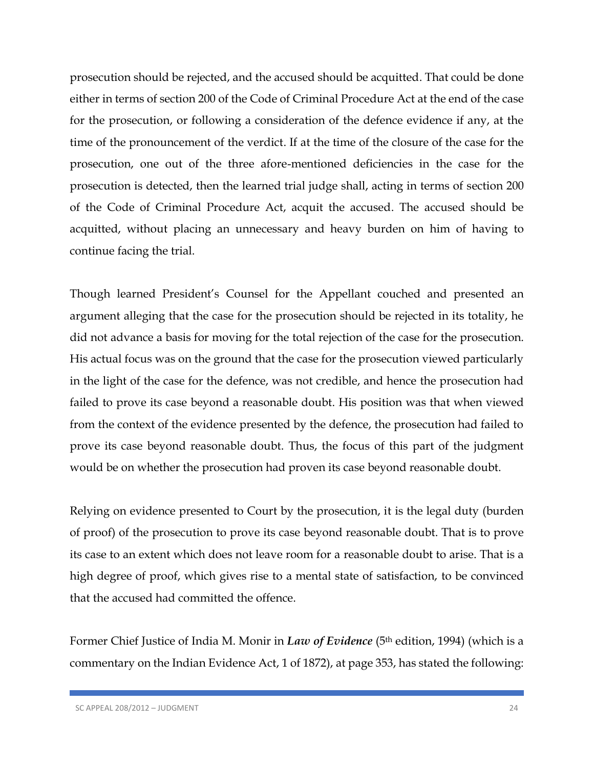prosecution should be rejected, and the accused should be acquitted. That could be done either in terms of section 200 of the Code of Criminal Procedure Act at the end of the case for the prosecution, or following a consideration of the defence evidence if any, at the time of the pronouncement of the verdict. If at the time of the closure of the case for the prosecution, one out of the three afore-mentioned deficiencies in the case for the prosecution is detected, then the learned trial judge shall, acting in terms of section 200 of the Code of Criminal Procedure Act, acquit the accused. The accused should be acquitted, without placing an unnecessary and heavy burden on him of having to continue facing the trial.

Though learned President's Counsel for the Appellant couched and presented an argument alleging that the case for the prosecution should be rejected in its totality, he did not advance a basis for moving for the total rejection of the case for the prosecution. His actual focus was on the ground that the case for the prosecution viewed particularly in the light of the case for the defence, was not credible, and hence the prosecution had failed to prove its case beyond a reasonable doubt. His position was that when viewed from the context of the evidence presented by the defence, the prosecution had failed to prove its case beyond reasonable doubt. Thus, the focus of this part of the judgment would be on whether the prosecution had proven its case beyond reasonable doubt.

Relying on evidence presented to Court by the prosecution, it is the legal duty (burden of proof) of the prosecution to prove its case beyond reasonable doubt. That is to prove its case to an extent which does not leave room for a reasonable doubt to arise. That is a high degree of proof, which gives rise to a mental state of satisfaction, to be convinced that the accused had committed the offence.

Former Chief Justice of India M. Monir in *Law of Evidence* (5<sup>th</sup> edition, 1994) (which is a commentary on the Indian Evidence Act, 1 of 1872), at page 353, has stated the following: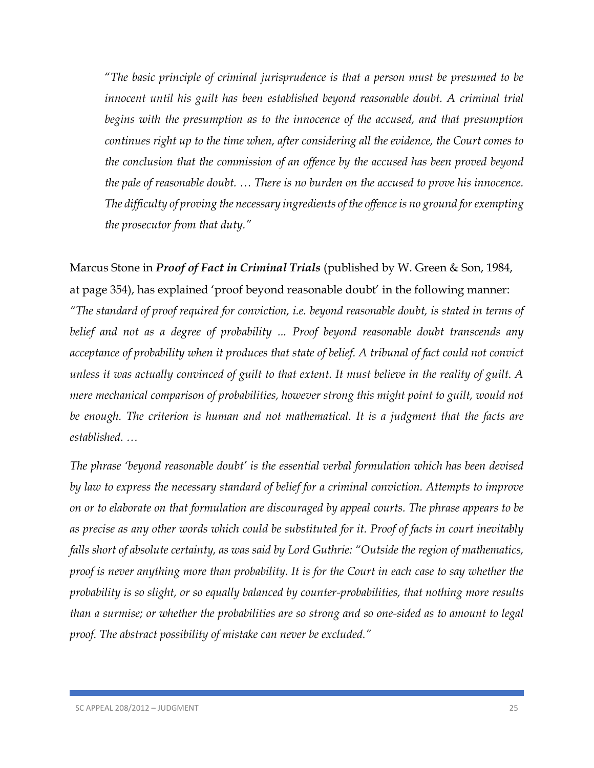"*The basic principle of criminal jurisprudence is that a person must be presumed to be*  innocent until his guilt has been established beyond reasonable doubt. A criminal trial begins with the presumption as to the innocence of the accused, and that presumption *continues right up to the time when, after considering all the evidence, the Court comes to the conclusion that the commission of an offence by the accused has been proved beyond the pale of reasonable doubt. … There is no burden on the accused to prove his innocence. The difficulty of proving the necessary ingredients of the offence is no ground for exempting the prosecutor from that duty."*

Marcus Stone in *Proof of Fact in Criminal Trials* (published by W. Green & Son, 1984, at page 354), has explained 'proof beyond reasonable doubt' in the following manner: *"The standard of proof required for conviction, i.e. beyond reasonable doubt, is stated in terms of belief and not as a degree of probability ... Proof beyond reasonable doubt transcends any acceptance of probability when it produces that state of belief. A tribunal of fact could not convict unless it was actually convinced of guilt to that extent. It must believe in the reality of guilt. A mere mechanical comparison of probabilities, however strong this might point to guilt, would not*  be enough. The criterion is human and not mathematical. It is a *judgment that the facts are established. …*

*The phrase 'beyond reasonable doubt' is the essential verbal formulation which has been devised by law to express the necessary standard of belief for a criminal conviction. Attempts to improve on or to elaborate on that formulation are discouraged by appeal courts. The phrase appears to be as precise as any other words which could be substituted for it. Proof of facts in court inevitably falls short of absolute certainty, as was said by Lord Guthrie: "Outside the region of mathematics, proof is never anything more than probability. It is for the Court in each case to say whether the probability is so slight, or so equally balanced by counter-probabilities, that nothing more results than a surmise; or whether the probabilities are so strong and so one-sided as to amount to legal proof. The abstract possibility of mistake can never be excluded."*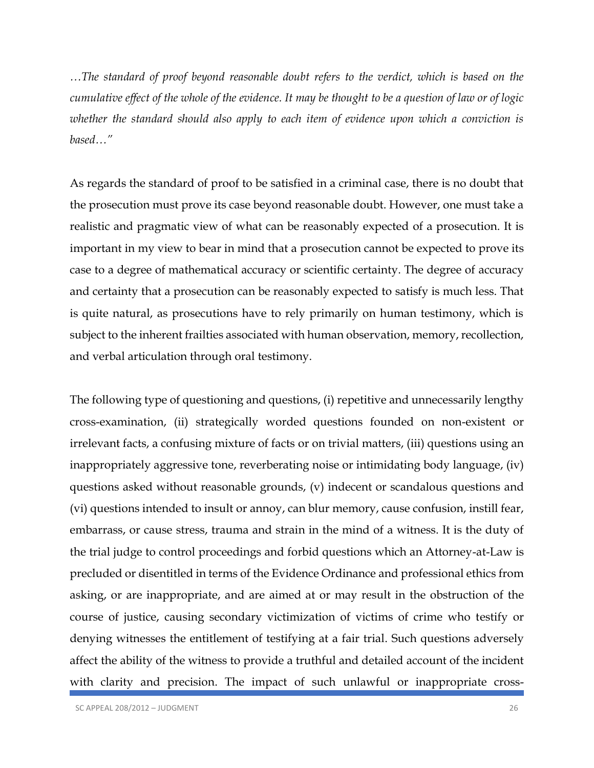*…The standard of proof beyond reasonable doubt refers to the verdict, which is based on the cumulative effect of the whole of the evidence. It may be thought to be a question of law or of logic whether the standard should also apply to each item of evidence upon which a conviction is based…"*

As regards the standard of proof to be satisfied in a criminal case, there is no doubt that the prosecution must prove its case beyond reasonable doubt. However, one must take a realistic and pragmatic view of what can be reasonably expected of a prosecution. It is important in my view to bear in mind that a prosecution cannot be expected to prove its case to a degree of mathematical accuracy or scientific certainty. The degree of accuracy and certainty that a prosecution can be reasonably expected to satisfy is much less. That is quite natural, as prosecutions have to rely primarily on human testimony, which is subject to the inherent frailties associated with human observation, memory, recollection, and verbal articulation through oral testimony.

The following type of questioning and questions, (i) repetitive and unnecessarily lengthy cross-examination, (ii) strategically worded questions founded on non-existent or irrelevant facts, a confusing mixture of facts or on trivial matters, (iii) questions using an inappropriately aggressive tone, reverberating noise or intimidating body language, (iv) questions asked without reasonable grounds, (v) indecent or scandalous questions and (vi) questions intended to insult or annoy, can blur memory, cause confusion, instill fear, embarrass, or cause stress, trauma and strain in the mind of a witness. It is the duty of the trial judge to control proceedings and forbid questions which an Attorney-at-Law is precluded or disentitled in terms of the Evidence Ordinance and professional ethics from asking, or are inappropriate, and are aimed at or may result in the obstruction of the course of justice, causing secondary victimization of victims of crime who testify or denying witnesses the entitlement of testifying at a fair trial. Such questions adversely affect the ability of the witness to provide a truthful and detailed account of the incident with clarity and precision. The impact of such unlawful or inappropriate cross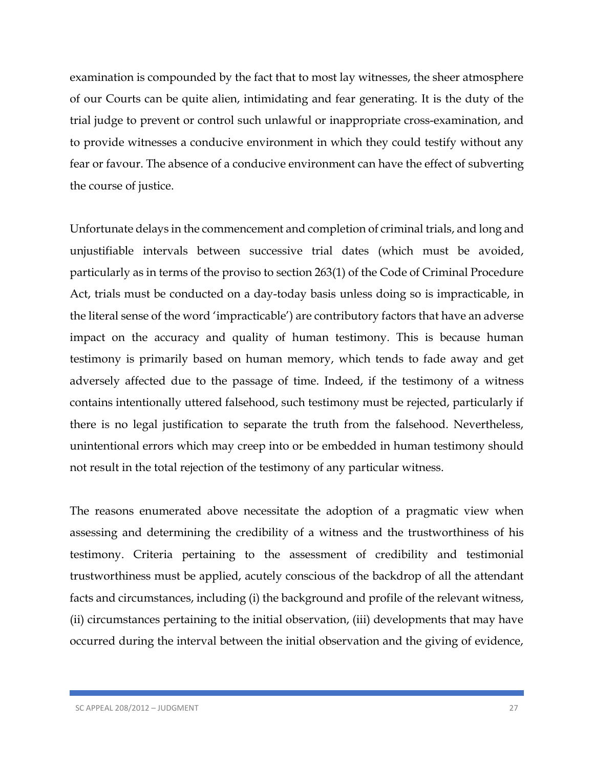examination is compounded by the fact that to most lay witnesses, the sheer atmosphere of our Courts can be quite alien, intimidating and fear generating. It is the duty of the trial judge to prevent or control such unlawful or inappropriate cross-examination, and to provide witnesses a conducive environment in which they could testify without any fear or favour. The absence of a conducive environment can have the effect of subverting the course of justice.

Unfortunate delays in the commencement and completion of criminal trials, and long and unjustifiable intervals between successive trial dates (which must be avoided, particularly as in terms of the proviso to section 263(1) of the Code of Criminal Procedure Act, trials must be conducted on a day-today basis unless doing so is impracticable, in the literal sense of the word 'impracticable') are contributory factors that have an adverse impact on the accuracy and quality of human testimony. This is because human testimony is primarily based on human memory, which tends to fade away and get adversely affected due to the passage of time. Indeed, if the testimony of a witness contains intentionally uttered falsehood, such testimony must be rejected, particularly if there is no legal justification to separate the truth from the falsehood. Nevertheless, unintentional errors which may creep into or be embedded in human testimony should not result in the total rejection of the testimony of any particular witness.

The reasons enumerated above necessitate the adoption of a pragmatic view when assessing and determining the credibility of a witness and the trustworthiness of his testimony. Criteria pertaining to the assessment of credibility and testimonial trustworthiness must be applied, acutely conscious of the backdrop of all the attendant facts and circumstances, including (i) the background and profile of the relevant witness, (ii) circumstances pertaining to the initial observation, (iii) developments that may have occurred during the interval between the initial observation and the giving of evidence,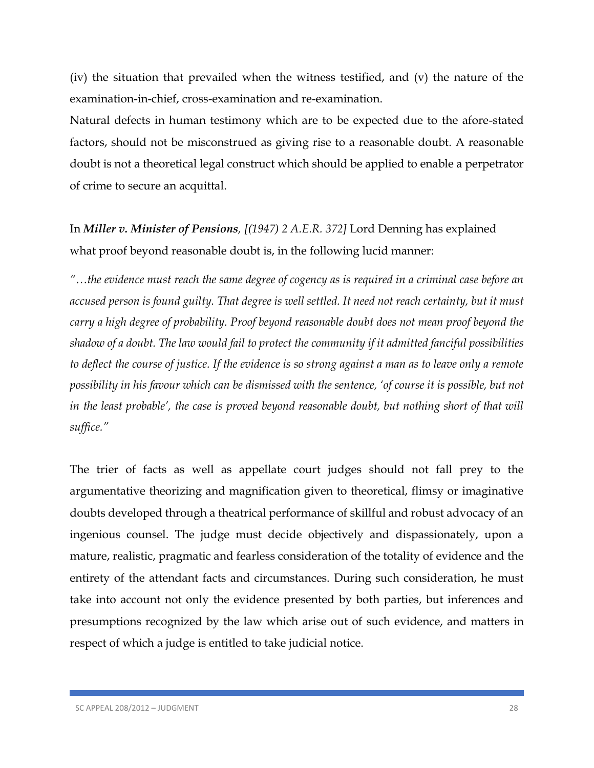(iv) the situation that prevailed when the witness testified, and (v) the nature of the examination-in-chief, cross-examination and re-examination.

Natural defects in human testimony which are to be expected due to the afore-stated factors, should not be misconstrued as giving rise to a reasonable doubt. A reasonable doubt is not a theoretical legal construct which should be applied to enable a perpetrator of crime to secure an acquittal.

In *Miller v. Minister of Pensions, [(1947) 2 A.E.R. 372]* Lord Denning has explained what proof beyond reasonable doubt is, in the following lucid manner:

*"…the evidence must reach the same degree of cogency as is required in a criminal case before an accused person is found guilty. That degree is well settled. It need not reach certainty, but it must carry a high degree of probability. Proof beyond reasonable doubt does not mean proof beyond the shadow of a doubt. The law would fail to protect the community if it admitted fanciful possibilities to deflect the course of justice. If the evidence is so strong against a man as to leave only a remote possibility in his favour which can be dismissed with the sentence, 'of course it is possible, but not in the least probable', the case is proved beyond reasonable doubt, but nothing short of that will suffice."*

The trier of facts as well as appellate court judges should not fall prey to the argumentative theorizing and magnification given to theoretical, flimsy or imaginative doubts developed through a theatrical performance of skillful and robust advocacy of an ingenious counsel. The judge must decide objectively and dispassionately, upon a mature, realistic, pragmatic and fearless consideration of the totality of evidence and the entirety of the attendant facts and circumstances. During such consideration, he must take into account not only the evidence presented by both parties, but inferences and presumptions recognized by the law which arise out of such evidence, and matters in respect of which a judge is entitled to take judicial notice.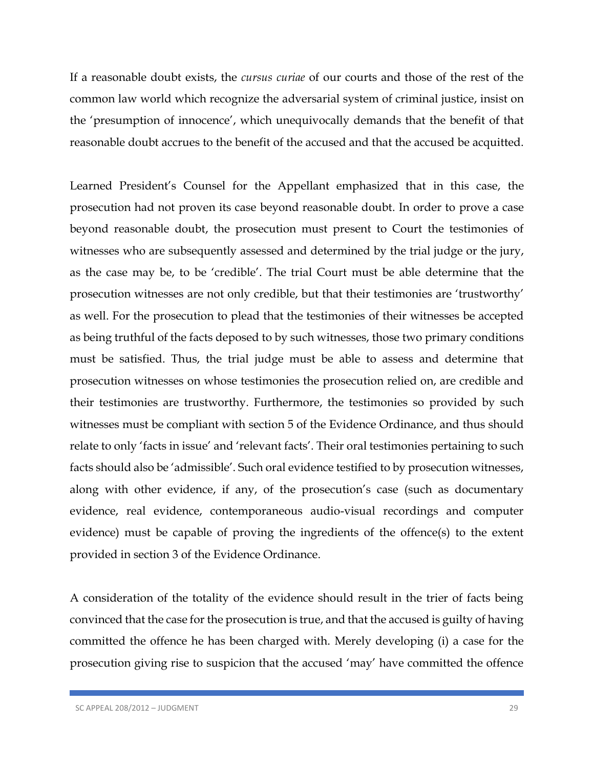If a reasonable doubt exists, the *cursus curiae* of our courts and those of the rest of the common law world which recognize the adversarial system of criminal justice, insist on the 'presumption of innocence', which unequivocally demands that the benefit of that reasonable doubt accrues to the benefit of the accused and that the accused be acquitted.

Learned President's Counsel for the Appellant emphasized that in this case, the prosecution had not proven its case beyond reasonable doubt. In order to prove a case beyond reasonable doubt, the prosecution must present to Court the testimonies of witnesses who are subsequently assessed and determined by the trial judge or the jury, as the case may be, to be 'credible'. The trial Court must be able determine that the prosecution witnesses are not only credible, but that their testimonies are 'trustworthy' as well. For the prosecution to plead that the testimonies of their witnesses be accepted as being truthful of the facts deposed to by such witnesses, those two primary conditions must be satisfied. Thus, the trial judge must be able to assess and determine that prosecution witnesses on whose testimonies the prosecution relied on, are credible and their testimonies are trustworthy. Furthermore, the testimonies so provided by such witnesses must be compliant with section 5 of the Evidence Ordinance, and thus should relate to only 'facts in issue' and 'relevant facts'. Their oral testimonies pertaining to such facts should also be 'admissible'. Such oral evidence testified to by prosecution witnesses, along with other evidence, if any, of the prosecution's case (such as documentary evidence, real evidence, contemporaneous audio-visual recordings and computer evidence) must be capable of proving the ingredients of the offence(s) to the extent provided in section 3 of the Evidence Ordinance.

A consideration of the totality of the evidence should result in the trier of facts being convinced that the case for the prosecution is true, and that the accused is guilty of having committed the offence he has been charged with. Merely developing (i) a case for the prosecution giving rise to suspicion that the accused 'may' have committed the offence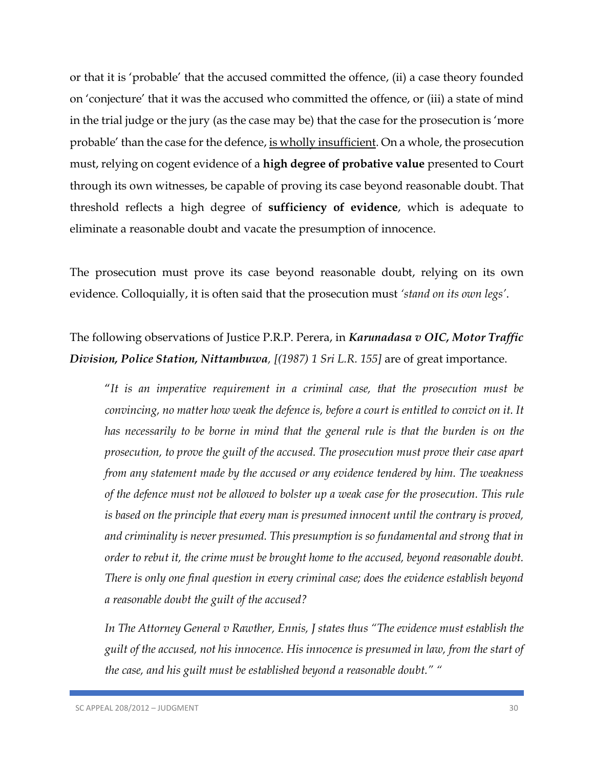or that it is 'probable' that the accused committed the offence, (ii) a case theory founded on 'conjecture' that it was the accused who committed the offence, or (iii) a state of mind in the trial judge or the jury (as the case may be) that the case for the prosecution is 'more probable' than the case for the defence, is wholly insufficient. On a whole, the prosecution must, relying on cogent evidence of a **high degree of probative value** presented to Court through its own witnesses, be capable of proving its case beyond reasonable doubt. That threshold reflects a high degree of **sufficiency of evidence**, which is adequate to eliminate a reasonable doubt and vacate the presumption of innocence.

The prosecution must prove its case beyond reasonable doubt, relying on its own evidence. Colloquially, it is often said that the prosecution must *'stand on its own legs'*.

# The following observations of Justice P.R.P. Perera, in *Karunadasa v OIC, Motor Traffic Division, Police Station, Nittambuwa, [(1987) 1 Sri L.R. 155]* are of great importance.

"*It is an imperative requirement in a criminal case, that the prosecution must be convincing, no matter how weak the defence is, before a court is entitled to convict on it. It has necessarily to be borne in mind that the general rule is that the burden is on the prosecution, to prove the guilt of the accused. The prosecution must prove their case apart from any statement made by the accused or any evidence tendered by him. The weakness of the defence must not be allowed to bolster up a weak case for the prosecution. This rule is based on the principle that every man is presumed innocent until the contrary is proved, and criminality is never presumed. This presumption is so fundamental and strong that in order to rebut it, the crime must be brought home to the accused, beyond reasonable doubt. There is only one final question in every criminal case; does the evidence establish beyond a reasonable doubt the guilt of the accused?* 

*In The Attorney General v Rawther, Ennis, J states thus "The evidence must establish the guilt of the accused, not his innocence. His innocence is presumed in law, from the start of the case, and his guilt must be established beyond a reasonable doubt." "*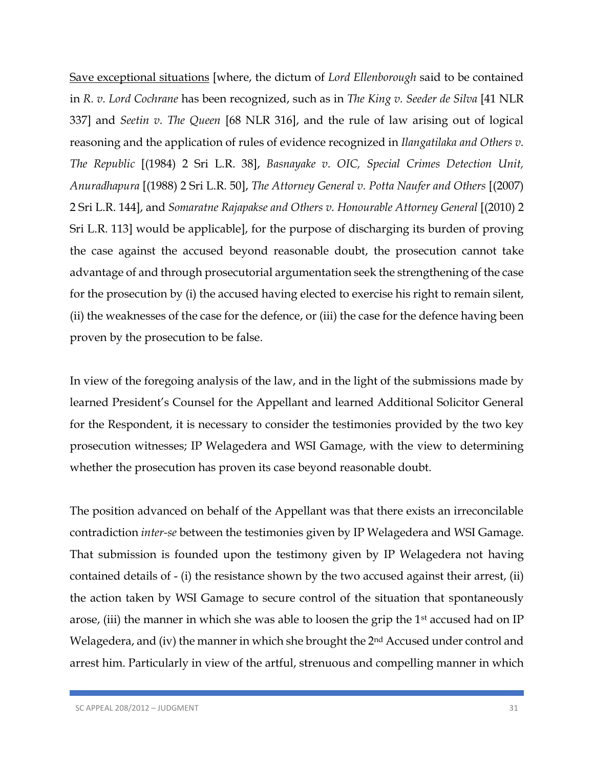Save exceptional situations [where, the dictum of *Lord Ellenborough* said to be contained in *R. v. Lord Cochrane* has been recognized, such as in *The King v. Seeder de Silva* [41 NLR 337] and *Seetin v. The Queen* [68 NLR 316], and the rule of law arising out of logical reasoning and the application of rules of evidence recognized in *Ilangatilaka and Others v. The Republic* [(1984) 2 Sri L.R. 38], *Basnayake v. OIC, Special Crimes Detection Unit, Anuradhapura* [(1988) 2 Sri L.R. 50], *The Attorney General v. Potta Naufer and Others* [(2007) 2 Sri L.R. 144], and *Somaratne Rajapakse and Others v. Honourable Attorney General* [(2010) 2 Sri L.R. 113] would be applicable], for the purpose of discharging its burden of proving the case against the accused beyond reasonable doubt, the prosecution cannot take advantage of and through prosecutorial argumentation seek the strengthening of the case for the prosecution by (i) the accused having elected to exercise his right to remain silent, (ii) the weaknesses of the case for the defence, or (iii) the case for the defence having been proven by the prosecution to be false.

In view of the foregoing analysis of the law, and in the light of the submissions made by learned President's Counsel for the Appellant and learned Additional Solicitor General for the Respondent, it is necessary to consider the testimonies provided by the two key prosecution witnesses; IP Welagedera and WSI Gamage, with the view to determining whether the prosecution has proven its case beyond reasonable doubt.

The position advanced on behalf of the Appellant was that there exists an irreconcilable contradiction *inter-se* between the testimonies given by IP Welagedera and WSI Gamage. That submission is founded upon the testimony given by IP Welagedera not having contained details of - (i) the resistance shown by the two accused against their arrest, (ii) the action taken by WSI Gamage to secure control of the situation that spontaneously arose, (iii) the manner in which she was able to loosen the grip the 1st accused had on IP Welagedera, and (iv) the manner in which she brought the 2<sup>nd</sup> Accused under control and arrest him. Particularly in view of the artful, strenuous and compelling manner in which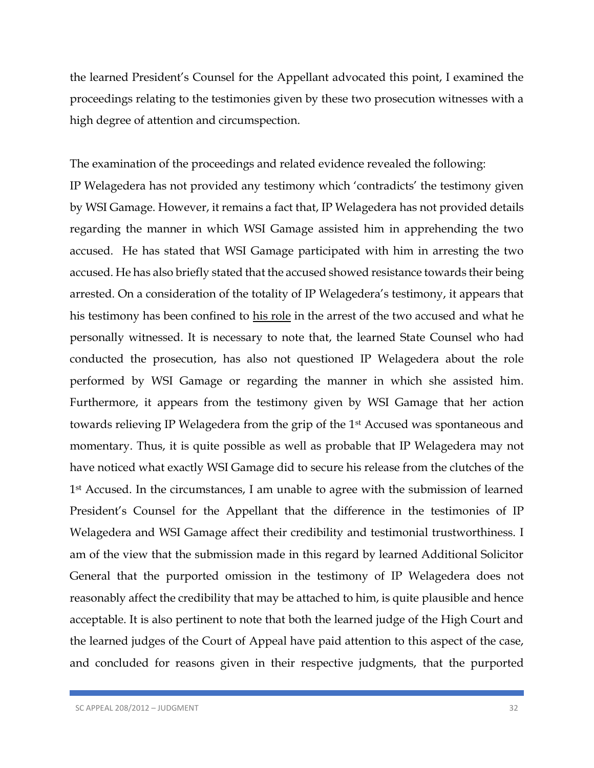the learned President's Counsel for the Appellant advocated this point, I examined the proceedings relating to the testimonies given by these two prosecution witnesses with a high degree of attention and circumspection.

The examination of the proceedings and related evidence revealed the following:

IP Welagedera has not provided any testimony which 'contradicts' the testimony given by WSI Gamage. However, it remains a fact that, IP Welagedera has not provided details regarding the manner in which WSI Gamage assisted him in apprehending the two accused. He has stated that WSI Gamage participated with him in arresting the two accused. He has also briefly stated that the accused showed resistance towards their being arrested. On a consideration of the totality of IP Welagedera's testimony, it appears that his testimony has been confined to his role in the arrest of the two accused and what he personally witnessed. It is necessary to note that, the learned State Counsel who had conducted the prosecution, has also not questioned IP Welagedera about the role performed by WSI Gamage or regarding the manner in which she assisted him. Furthermore, it appears from the testimony given by WSI Gamage that her action towards relieving IP Welagedera from the grip of the 1st Accused was spontaneous and momentary. Thus, it is quite possible as well as probable that IP Welagedera may not have noticed what exactly WSI Gamage did to secure his release from the clutches of the 1<sup>st</sup> Accused. In the circumstances, I am unable to agree with the submission of learned President's Counsel for the Appellant that the difference in the testimonies of IP Welagedera and WSI Gamage affect their credibility and testimonial trustworthiness. I am of the view that the submission made in this regard by learned Additional Solicitor General that the purported omission in the testimony of IP Welagedera does not reasonably affect the credibility that may be attached to him, is quite plausible and hence acceptable. It is also pertinent to note that both the learned judge of the High Court and the learned judges of the Court of Appeal have paid attention to this aspect of the case, and concluded for reasons given in their respective judgments, that the purported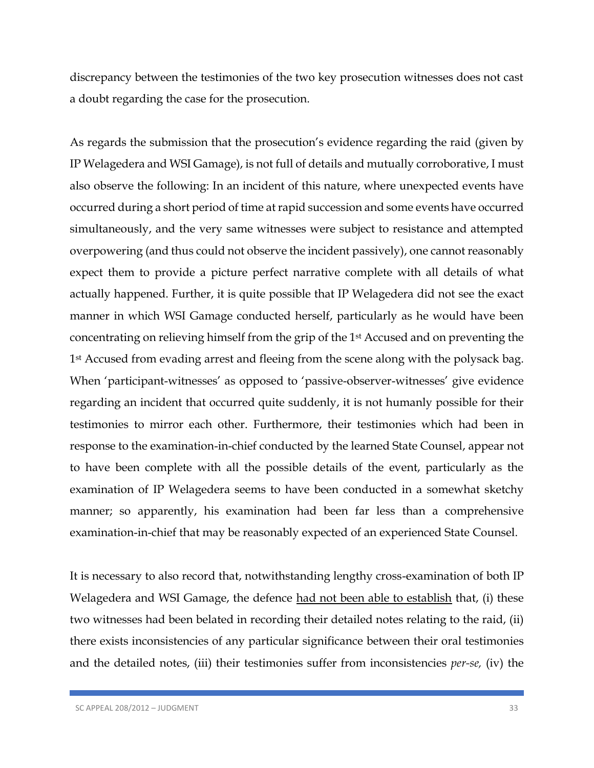discrepancy between the testimonies of the two key prosecution witnesses does not cast a doubt regarding the case for the prosecution.

As regards the submission that the prosecution's evidence regarding the raid (given by IP Welagedera and WSI Gamage), is not full of details and mutually corroborative, I must also observe the following: In an incident of this nature, where unexpected events have occurred during a short period of time at rapid succession and some events have occurred simultaneously, and the very same witnesses were subject to resistance and attempted overpowering (and thus could not observe the incident passively), one cannot reasonably expect them to provide a picture perfect narrative complete with all details of what actually happened. Further, it is quite possible that IP Welagedera did not see the exact manner in which WSI Gamage conducted herself, particularly as he would have been concentrating on relieving himself from the grip of the 1st Accused and on preventing the 1<sup>st</sup> Accused from evading arrest and fleeing from the scene along with the polysack bag. When 'participant-witnesses' as opposed to 'passive-observer-witnesses' give evidence regarding an incident that occurred quite suddenly, it is not humanly possible for their testimonies to mirror each other. Furthermore, their testimonies which had been in response to the examination-in-chief conducted by the learned State Counsel, appear not to have been complete with all the possible details of the event, particularly as the examination of IP Welagedera seems to have been conducted in a somewhat sketchy manner; so apparently, his examination had been far less than a comprehensive examination-in-chief that may be reasonably expected of an experienced State Counsel.

It is necessary to also record that, notwithstanding lengthy cross-examination of both IP Welagedera and WSI Gamage, the defence had not been able to establish that, (i) these two witnesses had been belated in recording their detailed notes relating to the raid, (ii) there exists inconsistencies of any particular significance between their oral testimonies and the detailed notes, (iii) their testimonies suffer from inconsistencies *per-se,* (iv) the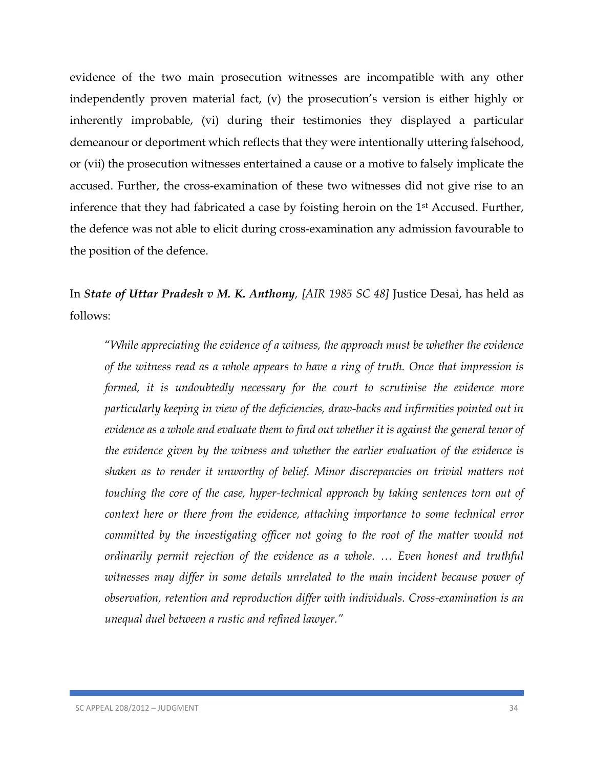evidence of the two main prosecution witnesses are incompatible with any other independently proven material fact, (v) the prosecution's version is either highly or inherently improbable, (vi) during their testimonies they displayed a particular demeanour or deportment which reflects that they were intentionally uttering falsehood, or (vii) the prosecution witnesses entertained a cause or a motive to falsely implicate the accused. Further, the cross-examination of these two witnesses did not give rise to an inference that they had fabricated a case by foisting heroin on the 1<sup>st</sup> Accused. Further, the defence was not able to elicit during cross-examination any admission favourable to the position of the defence.

In *State of Uttar Pradesh v M. K. Anthony, [AIR 1985 SC 48]* Justice Desai, has held as follows:

"*While appreciating the evidence of a witness, the approach must be whether the evidence of the witness read as a whole appears to have a ring of truth. Once that impression is formed, it is undoubtedly necessary for the court to scrutinise the evidence more particularly keeping in view of the deficiencies, draw-backs and infirmities pointed out in evidence as a whole and evaluate them to find out whether it is against the general tenor of the evidence given by the witness and whether the earlier evaluation of the evidence is shaken as to render it unworthy of belief. Minor discrepancies on trivial matters not touching the core of the case, hyper-technical approach by taking sentences torn out of context here or there from the evidence, attaching importance to some technical error*  committed by the investigating officer not going to the root of the matter would not *ordinarily permit rejection of the evidence as a whole. … Even honest and truthful*  witnesses may differ in some details unrelated to the main incident because power of *observation, retention and reproduction differ with individuals. Cross-examination is an unequal duel between a rustic and refined lawyer."*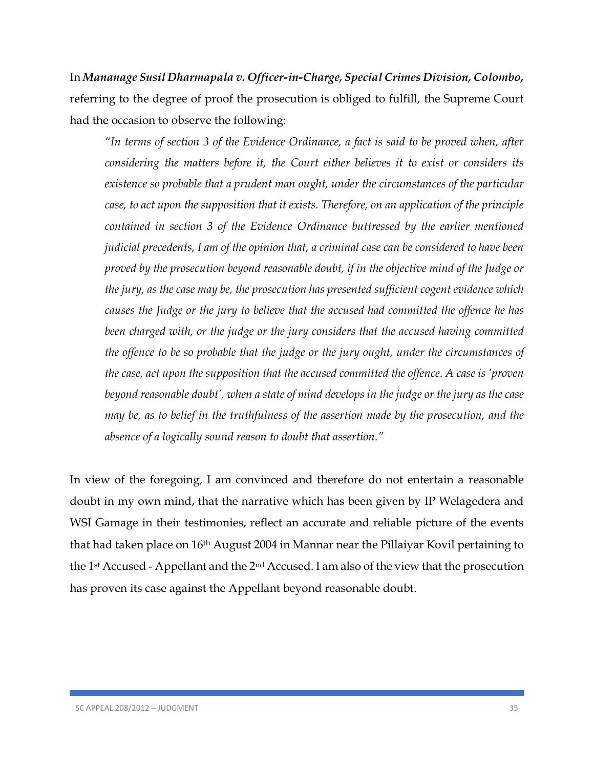In *Mananage Susil Dharmapala v. Officer-in-Charge, Special Crimes Division, Colombo,* referring to the degree of proof the prosecution is obliged to fulfill, the Supreme Court had the occasion to observe the following:

*"In terms of section 3 of the Evidence Ordinance, a fact is said to be proved when, after considering the matters before it, the Court either believes it to exist or considers its existence so probable that a prudent man ought, under the circumstances of the particular case, to act upon the supposition that it exists. Therefore, on an application of the principle contained in section 3 of the Evidence Ordinance buttressed by the earlier mentioned judicial precedents, I am of the opinion that, a criminal case can be considered to have been proved by the prosecution beyond reasonable doubt, if in the objective mind of the Judge or the jury, as the case may be, the prosecution has presented sufficient cogent evidence which causes the Judge or the jury to believe that the accused had committed the offence he has been charged with, or the judge or the jury considers that the accused having committed the offence to be so probable that the judge or the jury ought, under the circumstances of the case, act upon the supposition that the accused committed the offence. A case is 'proven beyond reasonable doubt', when a state of mind develops in the judge or the jury as the case may be, as to belief in the truthfulness of the assertion made by the prosecution, and the absence of a logically sound reason to doubt that assertion."*

In view of the foregoing, I am convinced and therefore do not entertain a reasonable doubt in my own mind, that the narrative which has been given by IP Welagedera and WSI Gamage in their testimonies, reflect an accurate and reliable picture of the events that had taken place on 16th August 2004 in Mannar near the Pillaiyar Kovil pertaining to the 1st Accused - Appellant and the 2nd Accused. I am also of the view that the prosecution has proven its case against the Appellant beyond reasonable doubt.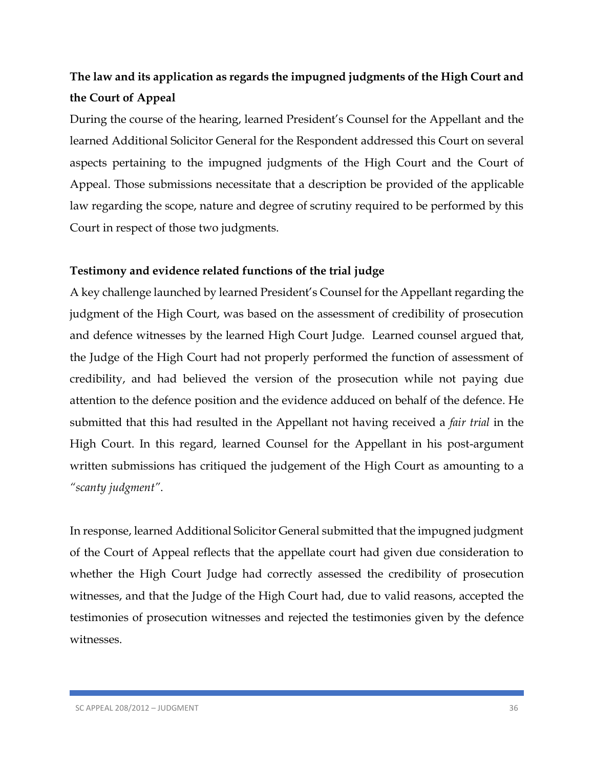# **The law and its application as regards the impugned judgments of the High Court and the Court of Appeal**

During the course of the hearing, learned President's Counsel for the Appellant and the learned Additional Solicitor General for the Respondent addressed this Court on several aspects pertaining to the impugned judgments of the High Court and the Court of Appeal. Those submissions necessitate that a description be provided of the applicable law regarding the scope, nature and degree of scrutiny required to be performed by this Court in respect of those two judgments.

## **Testimony and evidence related functions of the trial judge**

A key challenge launched by learned President's Counsel for the Appellant regarding the judgment of the High Court, was based on the assessment of credibility of prosecution and defence witnesses by the learned High Court Judge. Learned counsel argued that, the Judge of the High Court had not properly performed the function of assessment of credibility, and had believed the version of the prosecution while not paying due attention to the defence position and the evidence adduced on behalf of the defence. He submitted that this had resulted in the Appellant not having received a *fair trial* in the High Court. In this regard, learned Counsel for the Appellant in his post-argument written submissions has critiqued the judgement of the High Court as amounting to a *"scanty judgment"*.

In response, learned Additional Solicitor General submitted that the impugned judgment of the Court of Appeal reflects that the appellate court had given due consideration to whether the High Court Judge had correctly assessed the credibility of prosecution witnesses, and that the Judge of the High Court had, due to valid reasons, accepted the testimonies of prosecution witnesses and rejected the testimonies given by the defence witnesses.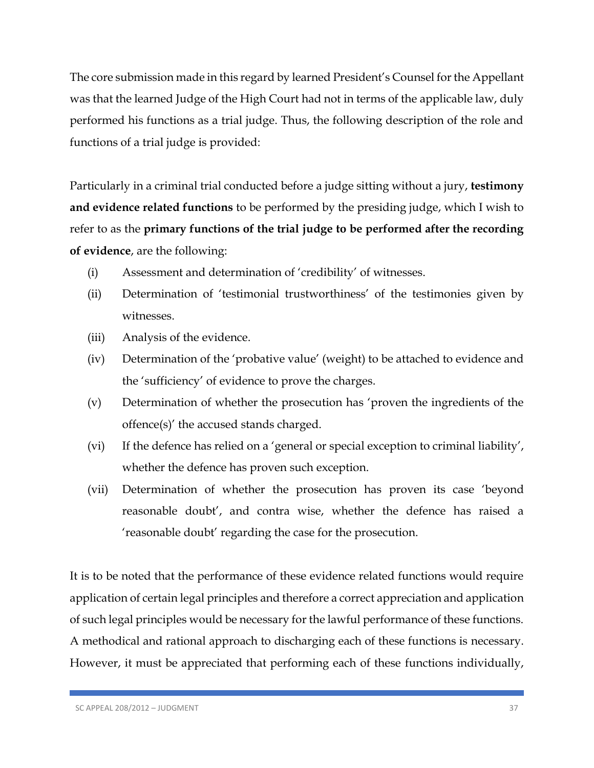The core submission made in this regard by learned President's Counsel for the Appellant was that the learned Judge of the High Court had not in terms of the applicable law, duly performed his functions as a trial judge. Thus, the following description of the role and functions of a trial judge is provided:

Particularly in a criminal trial conducted before a judge sitting without a jury, **testimony and evidence related functions** to be performed by the presiding judge, which I wish to refer to as the **primary functions of the trial judge to be performed after the recording of evidence**, are the following:

- (i) Assessment and determination of 'credibility' of witnesses.
- (ii) Determination of 'testimonial trustworthiness' of the testimonies given by witnesses.
- (iii) Analysis of the evidence.
- (iv) Determination of the 'probative value' (weight) to be attached to evidence and the 'sufficiency' of evidence to prove the charges.
- (v) Determination of whether the prosecution has 'proven the ingredients of the offence(s)' the accused stands charged.
- (vi) If the defence has relied on a 'general or special exception to criminal liability', whether the defence has proven such exception.
- (vii) Determination of whether the prosecution has proven its case 'beyond reasonable doubt', and contra wise, whether the defence has raised a 'reasonable doubt' regarding the case for the prosecution.

It is to be noted that the performance of these evidence related functions would require application of certain legal principles and therefore a correct appreciation and application of such legal principles would be necessary for the lawful performance of these functions. A methodical and rational approach to discharging each of these functions is necessary. However, it must be appreciated that performing each of these functions individually,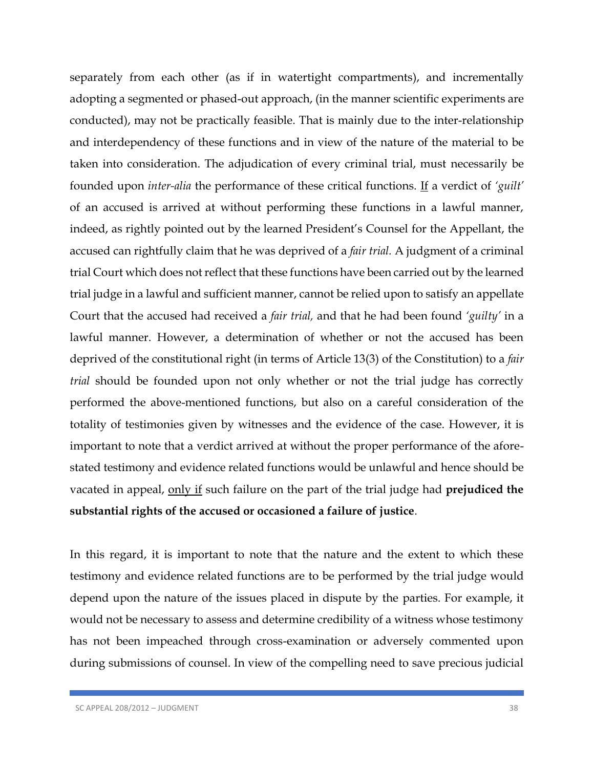separately from each other (as if in watertight compartments), and incrementally adopting a segmented or phased-out approach, (in the manner scientific experiments are conducted), may not be practically feasible. That is mainly due to the inter-relationship and interdependency of these functions and in view of the nature of the material to be taken into consideration. The adjudication of every criminal trial, must necessarily be founded upon *inter-alia* the performance of these critical functions. If a verdict of *'guilt'* of an accused is arrived at without performing these functions in a lawful manner, indeed, as rightly pointed out by the learned President's Counsel for the Appellant, the accused can rightfully claim that he was deprived of a *fair trial.* A judgment of a criminal trial Court which does not reflect that these functions have been carried out by the learned trial judge in a lawful and sufficient manner, cannot be relied upon to satisfy an appellate Court that the accused had received a *fair trial,* and that he had been found *'guilty'* in a lawful manner. However, a determination of whether or not the accused has been deprived of the constitutional right (in terms of Article 13(3) of the Constitution) to a *fair trial* should be founded upon not only whether or not the trial judge has correctly performed the above-mentioned functions, but also on a careful consideration of the totality of testimonies given by witnesses and the evidence of the case. However, it is important to note that a verdict arrived at without the proper performance of the aforestated testimony and evidence related functions would be unlawful and hence should be vacated in appeal, only if such failure on the part of the trial judge had **prejudiced the substantial rights of the accused or occasioned a failure of justice**.

In this regard, it is important to note that the nature and the extent to which these testimony and evidence related functions are to be performed by the trial judge would depend upon the nature of the issues placed in dispute by the parties. For example, it would not be necessary to assess and determine credibility of a witness whose testimony has not been impeached through cross-examination or adversely commented upon during submissions of counsel. In view of the compelling need to save precious judicial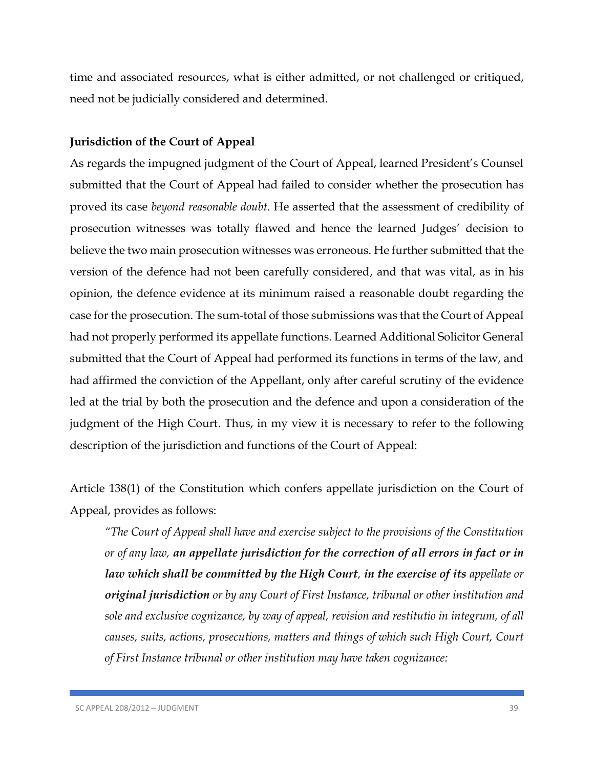time and associated resources, what is either admitted, or not challenged or critiqued, need not be judicially considered and determined.

### **Jurisdiction of the Court of Appeal**

As regards the impugned judgment of the Court of Appeal, learned President's Counsel submitted that the Court of Appeal had failed to consider whether the prosecution has proved its case *beyond reasonable doubt*. He asserted that the assessment of credibility of prosecution witnesses was totally flawed and hence the learned Judges' decision to believe the two main prosecution witnesses was erroneous. He further submitted that the version of the defence had not been carefully considered, and that was vital, as in his opinion, the defence evidence at its minimum raised a reasonable doubt regarding the case for the prosecution. The sum-total of those submissions was that the Court of Appeal had not properly performed its appellate functions. Learned Additional Solicitor General submitted that the Court of Appeal had performed its functions in terms of the law, and had affirmed the conviction of the Appellant, only after careful scrutiny of the evidence led at the trial by both the prosecution and the defence and upon a consideration of the judgment of the High Court. Thus, in my view it is necessary to refer to the following description of the jurisdiction and functions of the Court of Appeal:

Article 138(1) of the Constitution which confers appellate jurisdiction on the Court of Appeal, provides as follows:

*"The Court of Appeal shall have and exercise subject to the provisions of the Constitution or of any law, an appellate jurisdiction for the correction of all errors in fact or in law which shall be committed by the High Court, in the exercise of its appellate or original jurisdiction or by any Court of First Instance, tribunal or other institution and sole and exclusive cognizance, by way of appeal, revision and restitutio in integrum, of all causes, suits, actions, prosecutions, matters and things of which such High Court, Court of First Instance tribunal or other institution may have taken cognizance:*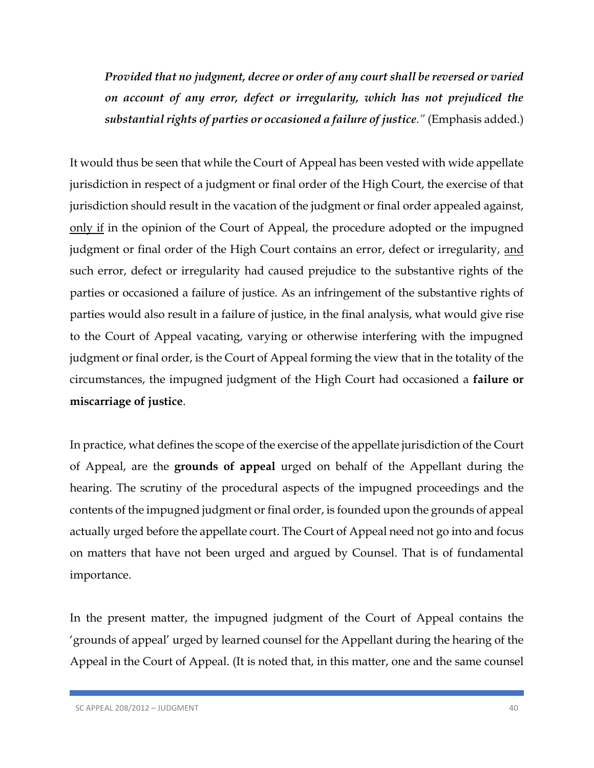*Provided that no judgment, decree or order of any court shall be reversed or varied on account of any error, defect or irregularity, which has not prejudiced the substantial rights of parties or occasioned a failure of justice."* (Emphasis added.)

It would thus be seen that while the Court of Appeal has been vested with wide appellate jurisdiction in respect of a judgment or final order of the High Court, the exercise of that jurisdiction should result in the vacation of the judgment or final order appealed against, only if in the opinion of the Court of Appeal, the procedure adopted or the impugned judgment or final order of the High Court contains an error, defect or irregularity, and such error, defect or irregularity had caused prejudice to the substantive rights of the parties or occasioned a failure of justice. As an infringement of the substantive rights of parties would also result in a failure of justice, in the final analysis, what would give rise to the Court of Appeal vacating, varying or otherwise interfering with the impugned judgment or final order, is the Court of Appeal forming the view that in the totality of the circumstances, the impugned judgment of the High Court had occasioned a **failure or miscarriage of justice**.

In practice, what defines the scope of the exercise of the appellate jurisdiction of the Court of Appeal, are the **grounds of appeal** urged on behalf of the Appellant during the hearing. The scrutiny of the procedural aspects of the impugned proceedings and the contents of the impugned judgment or final order, is founded upon the grounds of appeal actually urged before the appellate court. The Court of Appeal need not go into and focus on matters that have not been urged and argued by Counsel. That is of fundamental importance.

In the present matter, the impugned judgment of the Court of Appeal contains the 'grounds of appeal' urged by learned counsel for the Appellant during the hearing of the Appeal in the Court of Appeal. (It is noted that, in this matter, one and the same counsel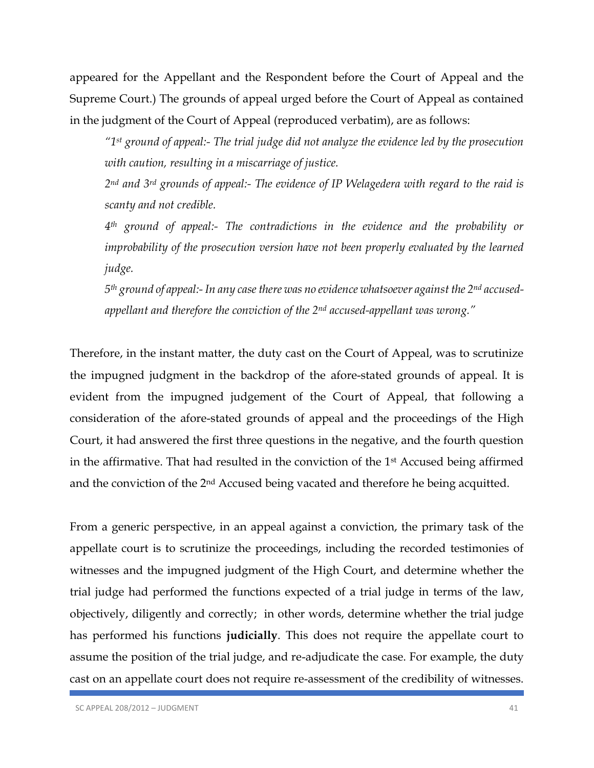appeared for the Appellant and the Respondent before the Court of Appeal and the Supreme Court.) The grounds of appeal urged before the Court of Appeal as contained in the judgment of the Court of Appeal (reproduced verbatim), are as follows:

*"1st ground of appeal:- The trial judge did not analyze the evidence led by the prosecution with caution, resulting in a miscarriage of justice.*

*2nd and 3rd grounds of appeal:- The evidence of IP Welagedera with regard to the raid is scanty and not credible.*

*4th ground of appeal:- The contradictions in the evidence and the probability or improbability of the prosecution version have not been properly evaluated by the learned judge.*

*5th ground of appeal:- In any case there was no evidence whatsoever against the 2nd accusedappellant and therefore the conviction of the 2nd accused-appellant was wrong."*

Therefore, in the instant matter, the duty cast on the Court of Appeal, was to scrutinize the impugned judgment in the backdrop of the afore-stated grounds of appeal. It is evident from the impugned judgement of the Court of Appeal, that following a consideration of the afore-stated grounds of appeal and the proceedings of the High Court, it had answered the first three questions in the negative, and the fourth question in the affirmative. That had resulted in the conviction of the 1st Accused being affirmed and the conviction of the 2nd Accused being vacated and therefore he being acquitted.

From a generic perspective, in an appeal against a conviction, the primary task of the appellate court is to scrutinize the proceedings, including the recorded testimonies of witnesses and the impugned judgment of the High Court, and determine whether the trial judge had performed the functions expected of a trial judge in terms of the law, objectively, diligently and correctly; in other words, determine whether the trial judge has performed his functions **judicially**. This does not require the appellate court to assume the position of the trial judge, and re-adjudicate the case. For example, the duty cast on an appellate court does not require re-assessment of the credibility of witnesses.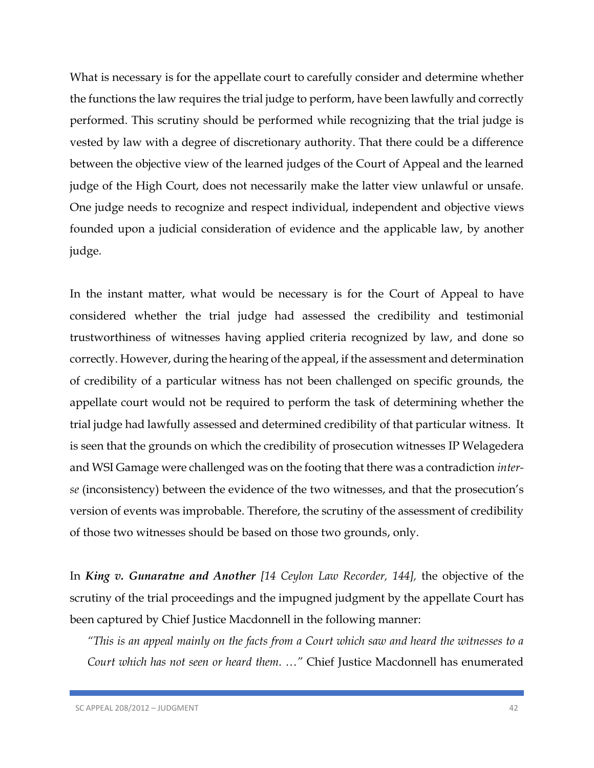What is necessary is for the appellate court to carefully consider and determine whether the functions the law requires the trial judge to perform, have been lawfully and correctly performed. This scrutiny should be performed while recognizing that the trial judge is vested by law with a degree of discretionary authority. That there could be a difference between the objective view of the learned judges of the Court of Appeal and the learned judge of the High Court, does not necessarily make the latter view unlawful or unsafe. One judge needs to recognize and respect individual, independent and objective views founded upon a judicial consideration of evidence and the applicable law, by another judge.

In the instant matter, what would be necessary is for the Court of Appeal to have considered whether the trial judge had assessed the credibility and testimonial trustworthiness of witnesses having applied criteria recognized by law, and done so correctly. However, during the hearing of the appeal, if the assessment and determination of credibility of a particular witness has not been challenged on specific grounds, the appellate court would not be required to perform the task of determining whether the trial judge had lawfully assessed and determined credibility of that particular witness. It is seen that the grounds on which the credibility of prosecution witnesses IP Welagedera and WSI Gamage were challenged was on the footing that there was a contradiction *interse* (inconsistency) between the evidence of the two witnesses, and that the prosecution's version of events was improbable. Therefore, the scrutiny of the assessment of credibility of those two witnesses should be based on those two grounds, only.

In *King v. Gunaratne and Another [14 Ceylon Law Recorder, 144],* the objective of the scrutiny of the trial proceedings and the impugned judgment by the appellate Court has been captured by Chief Justice Macdonnell in the following manner:

*"This is an appeal mainly on the facts from a Court which saw and heard the witnesses to a Court which has not seen or heard them. …"* Chief Justice Macdonnell has enumerated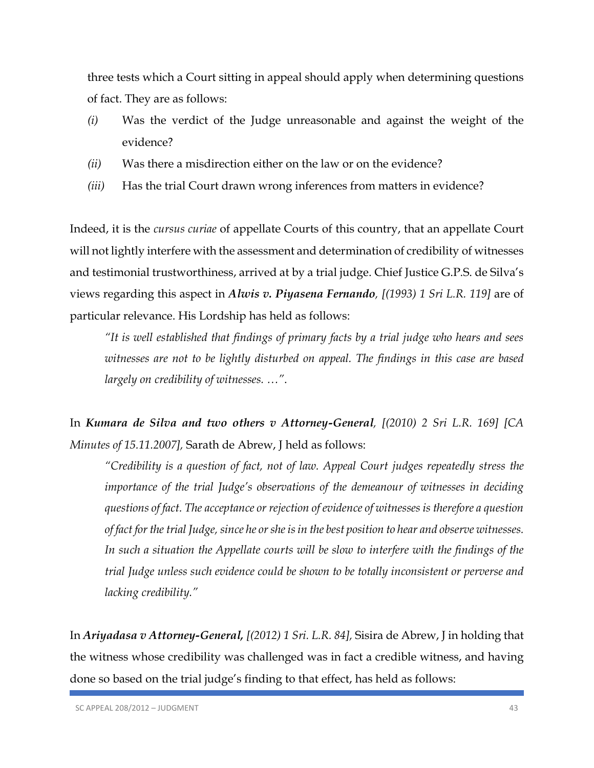three tests which a Court sitting in appeal should apply when determining questions of fact. They are as follows:

- *(i)* Was the verdict of the Judge unreasonable and against the weight of the evidence?
- *(ii)* Was there a misdirection either on the law or on the evidence?
- *(iii)* Has the trial Court drawn wrong inferences from matters in evidence?

Indeed, it is the *cursus curiae* of appellate Courts of this country, that an appellate Court will not lightly interfere with the assessment and determination of credibility of witnesses and testimonial trustworthiness, arrived at by a trial judge. Chief Justice G.P.S. de Silva's views regarding this aspect in *Alwis v. Piyasena Fernando, [(1993) 1 Sri L.R. 119]* are of particular relevance. His Lordship has held as follows:

*"It is well established that findings of primary facts by a trial judge who hears and sees witnesses are not to be lightly disturbed on appeal. The findings in this case are based largely on credibility of witnesses. …"*.

In *Kumara de Silva and two others v Attorney-General, [(2010) 2 Sri L.R. 169] [CA Minutes of 15.11.2007],* Sarath de Abrew, J held as follows:

*"Credibility is a question of fact, not of law. Appeal Court judges repeatedly stress the importance of the trial Judge's observations of the demeanour of witnesses in deciding questions of fact. The acceptance or rejection of evidence of witnesses is therefore a question of fact for the trial Judge, since he or she is in the best position to hear and observe witnesses.*  In such a situation the Appellate courts will be slow to interfere with the findings of the *trial Judge unless such evidence could be shown to be totally inconsistent or perverse and lacking credibility."*

In *Ariyadasa v Attorney-General, [(2012) 1 Sri. L.R. 84],* Sisira de Abrew, J in holding that the witness whose credibility was challenged was in fact a credible witness, and having done so based on the trial judge's finding to that effect, has held as follows: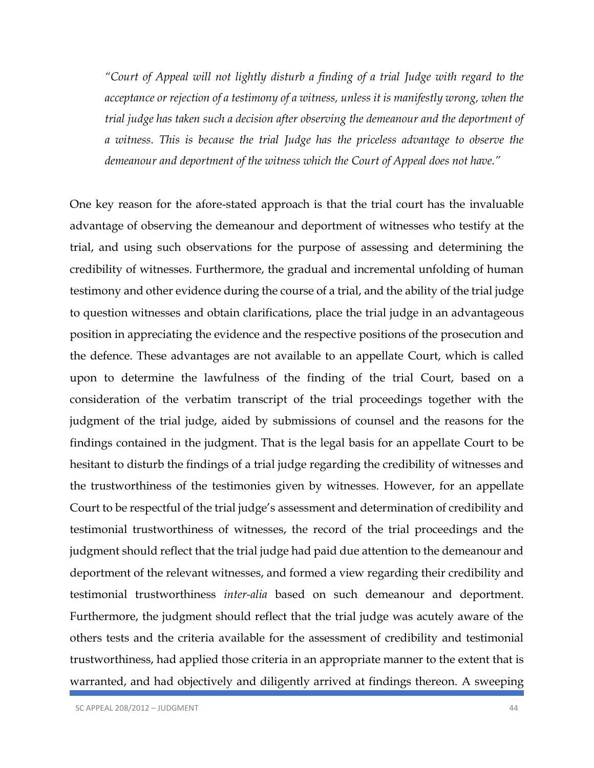*"Court of Appeal will not lightly disturb a finding of a trial Judge with regard to the acceptance or rejection of a testimony of a witness, unless it is manifestly wrong, when the trial judge has taken such a decision after observing the demeanour and the deportment of a witness. This is because the trial Judge has the priceless advantage to observe the demeanour and deportment of the witness which the Court of Appeal does not have."*

One key reason for the afore-stated approach is that the trial court has the invaluable advantage of observing the demeanour and deportment of witnesses who testify at the trial, and using such observations for the purpose of assessing and determining the credibility of witnesses. Furthermore, the gradual and incremental unfolding of human testimony and other evidence during the course of a trial, and the ability of the trial judge to question witnesses and obtain clarifications, place the trial judge in an advantageous position in appreciating the evidence and the respective positions of the prosecution and the defence. These advantages are not available to an appellate Court, which is called upon to determine the lawfulness of the finding of the trial Court, based on a consideration of the verbatim transcript of the trial proceedings together with the judgment of the trial judge, aided by submissions of counsel and the reasons for the findings contained in the judgment. That is the legal basis for an appellate Court to be hesitant to disturb the findings of a trial judge regarding the credibility of witnesses and the trustworthiness of the testimonies given by witnesses. However, for an appellate Court to be respectful of the trial judge's assessment and determination of credibility and testimonial trustworthiness of witnesses, the record of the trial proceedings and the judgment should reflect that the trial judge had paid due attention to the demeanour and deportment of the relevant witnesses, and formed a view regarding their credibility and testimonial trustworthiness *inter-alia* based on such demeanour and deportment. Furthermore, the judgment should reflect that the trial judge was acutely aware of the others tests and the criteria available for the assessment of credibility and testimonial trustworthiness, had applied those criteria in an appropriate manner to the extent that is warranted, and had objectively and diligently arrived at findings thereon. A sweeping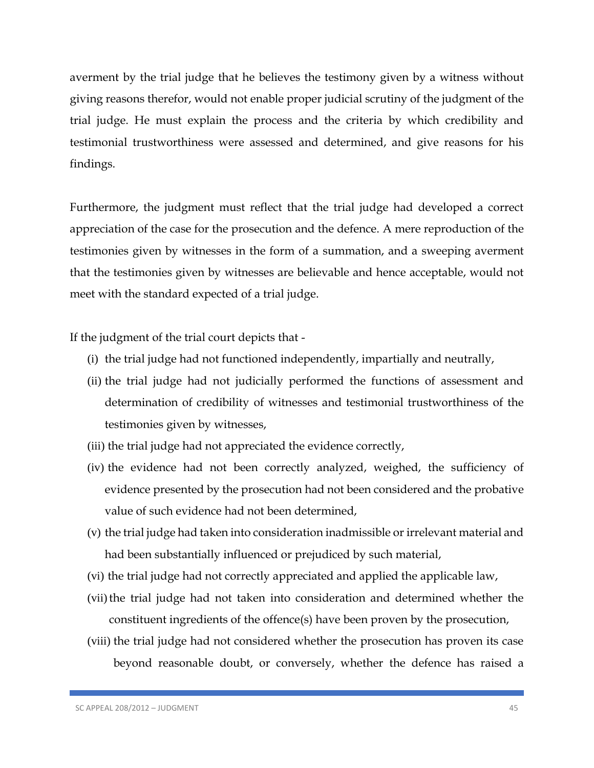averment by the trial judge that he believes the testimony given by a witness without giving reasons therefor, would not enable proper judicial scrutiny of the judgment of the trial judge. He must explain the process and the criteria by which credibility and testimonial trustworthiness were assessed and determined, and give reasons for his findings.

Furthermore, the judgment must reflect that the trial judge had developed a correct appreciation of the case for the prosecution and the defence. A mere reproduction of the testimonies given by witnesses in the form of a summation, and a sweeping averment that the testimonies given by witnesses are believable and hence acceptable, would not meet with the standard expected of a trial judge.

If the judgment of the trial court depicts that -

- (i) the trial judge had not functioned independently, impartially and neutrally,
- (ii) the trial judge had not judicially performed the functions of assessment and determination of credibility of witnesses and testimonial trustworthiness of the testimonies given by witnesses,
- (iii) the trial judge had not appreciated the evidence correctly,
- (iv) the evidence had not been correctly analyzed, weighed, the sufficiency of evidence presented by the prosecution had not been considered and the probative value of such evidence had not been determined,
- (v) the trial judge had taken into consideration inadmissible or irrelevant material and had been substantially influenced or prejudiced by such material,
- (vi) the trial judge had not correctly appreciated and applied the applicable law,
- (vii) the trial judge had not taken into consideration and determined whether the constituent ingredients of the offence(s) have been proven by the prosecution,
- (viii) the trial judge had not considered whether the prosecution has proven its case beyond reasonable doubt, or conversely, whether the defence has raised a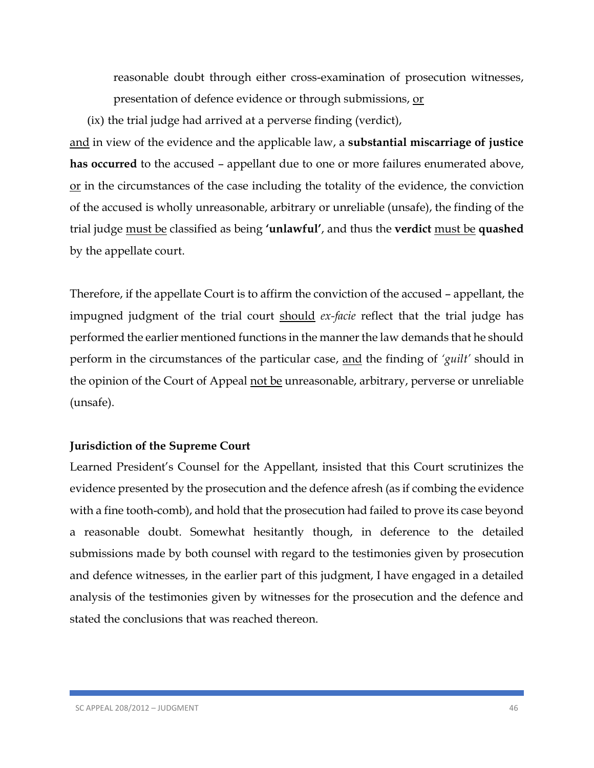reasonable doubt through either cross-examination of prosecution witnesses, presentation of defence evidence or through submissions, or

(ix) the trial judge had arrived at a perverse finding (verdict),

and in view of the evidence and the applicable law, a **substantial miscarriage of justice has occurred** to the accused – appellant due to one or more failures enumerated above, or in the circumstances of the case including the totality of the evidence, the conviction of the accused is wholly unreasonable, arbitrary or unreliable (unsafe), the finding of the trial judge must be classified as being **'unlawful'**, and thus the **verdict** must be **quashed** by the appellate court.

Therefore, if the appellate Court is to affirm the conviction of the accused – appellant, the impugned judgment of the trial court should *ex-facie* reflect that the trial judge has performed the earlier mentioned functions in the manner the law demands that he should perform in the circumstances of the particular case, and the finding of *'guilt'* should in the opinion of the Court of Appeal not be unreasonable, arbitrary, perverse or unreliable (unsafe).

## **Jurisdiction of the Supreme Court**

Learned President's Counsel for the Appellant, insisted that this Court scrutinizes the evidence presented by the prosecution and the defence afresh (as if combing the evidence with a fine tooth-comb), and hold that the prosecution had failed to prove its case beyond a reasonable doubt. Somewhat hesitantly though, in deference to the detailed submissions made by both counsel with regard to the testimonies given by prosecution and defence witnesses, in the earlier part of this judgment, I have engaged in a detailed analysis of the testimonies given by witnesses for the prosecution and the defence and stated the conclusions that was reached thereon.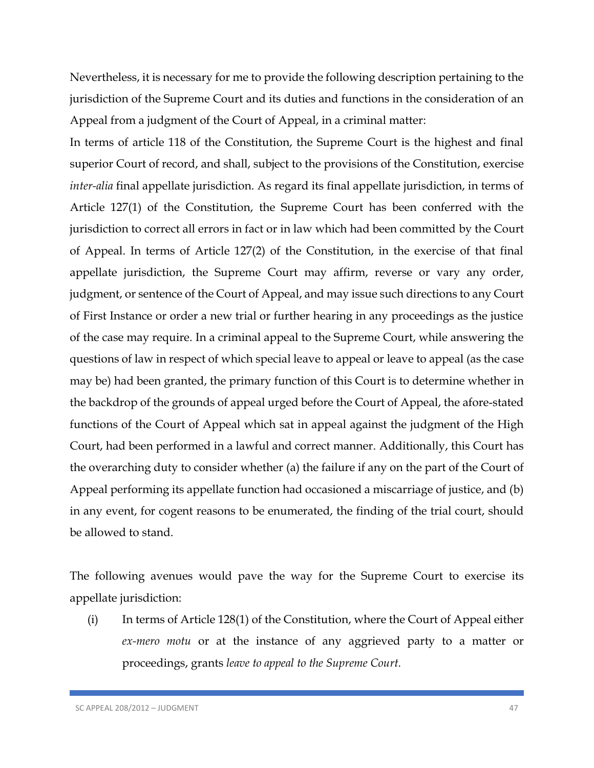Nevertheless, it is necessary for me to provide the following description pertaining to the jurisdiction of the Supreme Court and its duties and functions in the consideration of an Appeal from a judgment of the Court of Appeal, in a criminal matter:

In terms of article 118 of the Constitution, the Supreme Court is the highest and final superior Court of record, and shall, subject to the provisions of the Constitution, exercise *inter-alia* final appellate jurisdiction. As regard its final appellate jurisdiction, in terms of Article 127(1) of the Constitution, the Supreme Court has been conferred with the jurisdiction to correct all errors in fact or in law which had been committed by the Court of Appeal. In terms of Article 127(2) of the Constitution, in the exercise of that final appellate jurisdiction, the Supreme Court may affirm, reverse or vary any order, judgment, or sentence of the Court of Appeal, and may issue such directions to any Court of First Instance or order a new trial or further hearing in any proceedings as the justice of the case may require. In a criminal appeal to the Supreme Court, while answering the questions of law in respect of which special leave to appeal or leave to appeal (as the case may be) had been granted, the primary function of this Court is to determine whether in the backdrop of the grounds of appeal urged before the Court of Appeal, the afore-stated functions of the Court of Appeal which sat in appeal against the judgment of the High Court, had been performed in a lawful and correct manner. Additionally, this Court has the overarching duty to consider whether (a) the failure if any on the part of the Court of Appeal performing its appellate function had occasioned a miscarriage of justice, and (b) in any event, for cogent reasons to be enumerated, the finding of the trial court, should be allowed to stand.

The following avenues would pave the way for the Supreme Court to exercise its appellate jurisdiction:

(i) In terms of Article 128(1) of the Constitution, where the Court of Appeal either *ex-mero motu* or at the instance of any aggrieved party to a matter or proceedings, grants *leave to appeal to the Supreme Court.*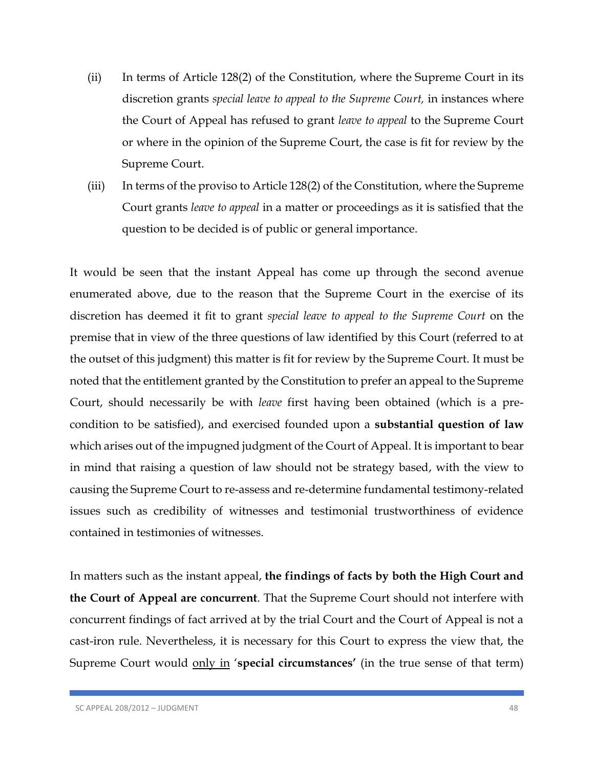- (ii) In terms of Article 128(2) of the Constitution, where the Supreme Court in its discretion grants *special leave to appeal to the Supreme Court,* in instances where the Court of Appeal has refused to grant *leave to appeal* to the Supreme Court or where in the opinion of the Supreme Court, the case is fit for review by the Supreme Court.
- (iii) In terms of the proviso to Article 128(2) of the Constitution, where the Supreme Court grants *leave to appeal* in a matter or proceedings as it is satisfied that the question to be decided is of public or general importance.

It would be seen that the instant Appeal has come up through the second avenue enumerated above, due to the reason that the Supreme Court in the exercise of its discretion has deemed it fit to grant *special leave to appeal to the Supreme Court* on the premise that in view of the three questions of law identified by this Court (referred to at the outset of this judgment) this matter is fit for review by the Supreme Court. It must be noted that the entitlement granted by the Constitution to prefer an appeal to the Supreme Court, should necessarily be with *leave* first having been obtained (which is a precondition to be satisfied), and exercised founded upon a **substantial question of law**  which arises out of the impugned judgment of the Court of Appeal. It is important to bear in mind that raising a question of law should not be strategy based, with the view to causing the Supreme Court to re-assess and re-determine fundamental testimony-related issues such as credibility of witnesses and testimonial trustworthiness of evidence contained in testimonies of witnesses.

In matters such as the instant appeal, **the findings of facts by both the High Court and the Court of Appeal are concurrent**. That the Supreme Court should not interfere with concurrent findings of fact arrived at by the trial Court and the Court of Appeal is not a cast-iron rule. Nevertheless, it is necessary for this Court to express the view that, the Supreme Court would only in '**special circumstances'** (in the true sense of that term)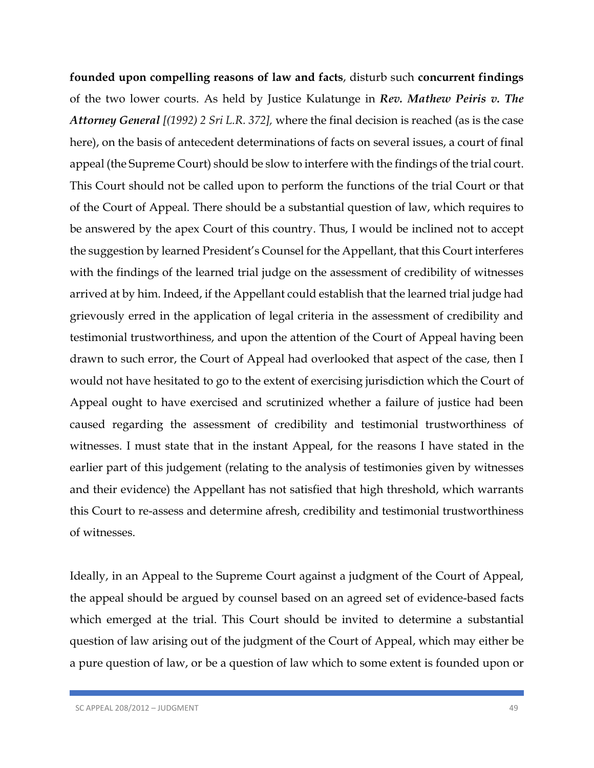**founded upon compelling reasons of law and facts**, disturb such **concurrent findings** of the two lower courts. As held by Justice Kulatunge in *Rev. Mathew Peiris v. The Attorney General [(1992) 2 Sri L.R. 372],* where the final decision is reached (as is the case here), on the basis of antecedent determinations of facts on several issues, a court of final appeal (the Supreme Court) should be slow to interfere with the findings of the trial court. This Court should not be called upon to perform the functions of the trial Court or that of the Court of Appeal. There should be a substantial question of law, which requires to be answered by the apex Court of this country. Thus, I would be inclined not to accept the suggestion by learned President's Counsel for the Appellant, that this Court interferes with the findings of the learned trial judge on the assessment of credibility of witnesses arrived at by him. Indeed, if the Appellant could establish that the learned trial judge had grievously erred in the application of legal criteria in the assessment of credibility and testimonial trustworthiness, and upon the attention of the Court of Appeal having been drawn to such error, the Court of Appeal had overlooked that aspect of the case, then I would not have hesitated to go to the extent of exercising jurisdiction which the Court of Appeal ought to have exercised and scrutinized whether a failure of justice had been caused regarding the assessment of credibility and testimonial trustworthiness of witnesses. I must state that in the instant Appeal, for the reasons I have stated in the earlier part of this judgement (relating to the analysis of testimonies given by witnesses and their evidence) the Appellant has not satisfied that high threshold, which warrants this Court to re-assess and determine afresh, credibility and testimonial trustworthiness of witnesses.

Ideally, in an Appeal to the Supreme Court against a judgment of the Court of Appeal, the appeal should be argued by counsel based on an agreed set of evidence-based facts which emerged at the trial. This Court should be invited to determine a substantial question of law arising out of the judgment of the Court of Appeal, which may either be a pure question of law, or be a question of law which to some extent is founded upon or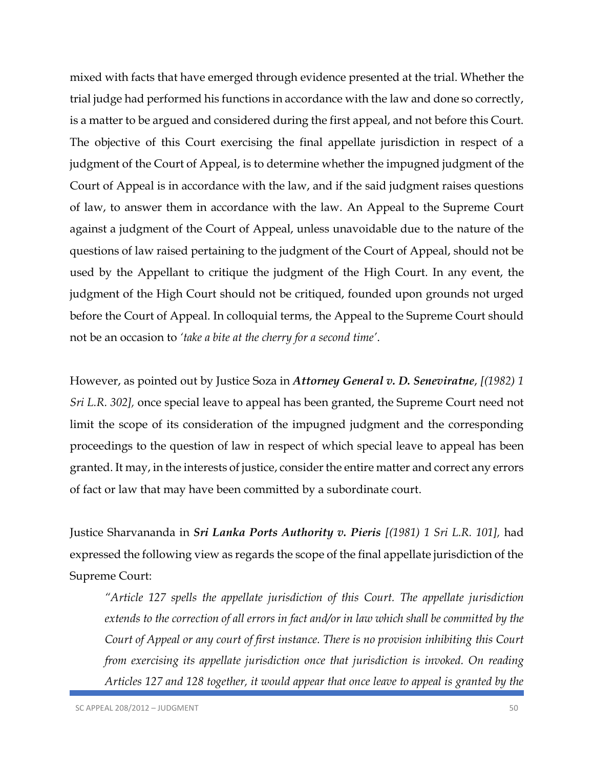mixed with facts that have emerged through evidence presented at the trial. Whether the trial judge had performed his functions in accordance with the law and done so correctly, is a matter to be argued and considered during the first appeal, and not before this Court. The objective of this Court exercising the final appellate jurisdiction in respect of a judgment of the Court of Appeal, is to determine whether the impugned judgment of the Court of Appeal is in accordance with the law, and if the said judgment raises questions of law, to answer them in accordance with the law. An Appeal to the Supreme Court against a judgment of the Court of Appeal, unless unavoidable due to the nature of the questions of law raised pertaining to the judgment of the Court of Appeal, should not be used by the Appellant to critique the judgment of the High Court. In any event, the judgment of the High Court should not be critiqued, founded upon grounds not urged before the Court of Appeal. In colloquial terms, the Appeal to the Supreme Court should not be an occasion to *'take a bite at the cherry for a second time'*.

However, as pointed out by Justice Soza in *Attorney General v. D. Seneviratne*, *[(1982) 1 Sri L.R. 302],* once special leave to appeal has been granted, the Supreme Court need not limit the scope of its consideration of the impugned judgment and the corresponding proceedings to the question of law in respect of which special leave to appeal has been granted. It may, in the interests of justice, consider the entire matter and correct any errors of fact or law that may have been committed by a subordinate court.

Justice Sharvananda in *Sri Lanka Ports Authority v. Pieris [(1981) 1 Sri L.R. 101],* had expressed the following view as regards the scope of the final appellate jurisdiction of the Supreme Court:

*"Article 127 spells the appellate jurisdiction of this Court. The appellate jurisdiction extends to the correction of all errors in fact and/or in law which shall be committed by the Court of Appeal or any court of first instance. There is no provision inhibiting this Court from exercising its appellate jurisdiction once that jurisdiction is invoked. On reading Articles 127 and 128 together, it would appear that once leave to appeal is granted by the*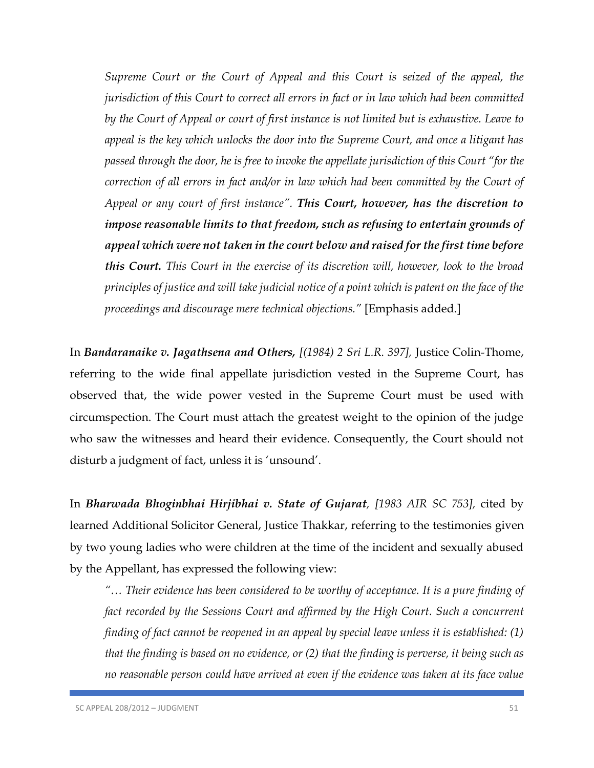*Supreme Court or the Court of Appeal and this Court is seized of the appeal, the jurisdiction of this Court to correct all errors in fact or in law which had been committed by the Court of Appeal or court of first instance is not limited but is exhaustive. Leave to appeal is the key which unlocks the door into the Supreme Court, and once a litigant has passed through the door, he is free to invoke the appellate jurisdiction of this Court "for the correction of all errors in fact and/or in law which had been committed by the Court of Appeal or any court of first instance". This Court, however, has the discretion to impose reasonable limits to that freedom, such as refusing to entertain grounds of appeal which were not taken in the court below and raised for the first time before this Court. This Court in the exercise of its discretion will, however, look to the broad principles of justice and will take judicial notice of a point which is patent on the face of the proceedings and discourage mere technical objections."* [Emphasis added.]

In *Bandaranaike v. Jagathsena and Others, [(1984) 2 Sri L.R. 397],* Justice Colin-Thome, referring to the wide final appellate jurisdiction vested in the Supreme Court, has observed that, the wide power vested in the Supreme Court must be used with circumspection. The Court must attach the greatest weight to the opinion of the judge who saw the witnesses and heard their evidence. Consequently, the Court should not disturb a judgment of fact, unless it is 'unsound'.

In *Bharwada Bhoginbhai Hirjibhai v. State of Gujarat, [1983 AIR SC 753],* cited by learned Additional Solicitor General, Justice Thakkar, referring to the testimonies given by two young ladies who were children at the time of the incident and sexually abused by the Appellant, has expressed the following view:

*"… Their evidence has been considered to be worthy of acceptance. It is a pure finding of*  fact recorded by the Sessions Court and affirmed by the High Court. Such a concurrent *finding of fact cannot be reopened in an appeal by special leave unless it is established: (1) that the finding is based on no evidence, or (2) that the finding is perverse, it being such as no reasonable person could have arrived at even if the evidence was taken at its face value*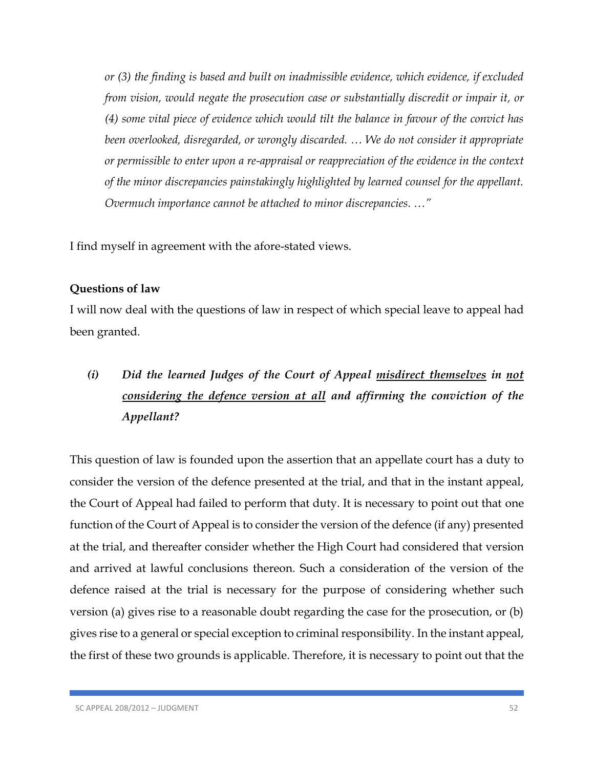*or (3) the finding is based and built on inadmissible evidence, which evidence, if excluded from vision, would negate the prosecution case or substantially discredit or impair it, or (4) some vital piece of evidence which would tilt the balance in favour of the convict has been overlooked, disregarded, or wrongly discarded. … We do not consider it appropriate or permissible to enter upon a re-appraisal or reappreciation of the evidence in the context of the minor discrepancies painstakingly highlighted by learned counsel for the appellant. Overmuch importance cannot be attached to minor discrepancies. …"*

I find myself in agreement with the afore-stated views.

### **Questions of law**

I will now deal with the questions of law in respect of which special leave to appeal had been granted.

# *(i) Did the learned Judges of the Court of Appeal misdirect themselves in not considering the defence version at all and affirming the conviction of the Appellant?*

This question of law is founded upon the assertion that an appellate court has a duty to consider the version of the defence presented at the trial, and that in the instant appeal, the Court of Appeal had failed to perform that duty. It is necessary to point out that one function of the Court of Appeal is to consider the version of the defence (if any) presented at the trial, and thereafter consider whether the High Court had considered that version and arrived at lawful conclusions thereon. Such a consideration of the version of the defence raised at the trial is necessary for the purpose of considering whether such version (a) gives rise to a reasonable doubt regarding the case for the prosecution, or (b) gives rise to a general or special exception to criminal responsibility. In the instant appeal, the first of these two grounds is applicable. Therefore, it is necessary to point out that the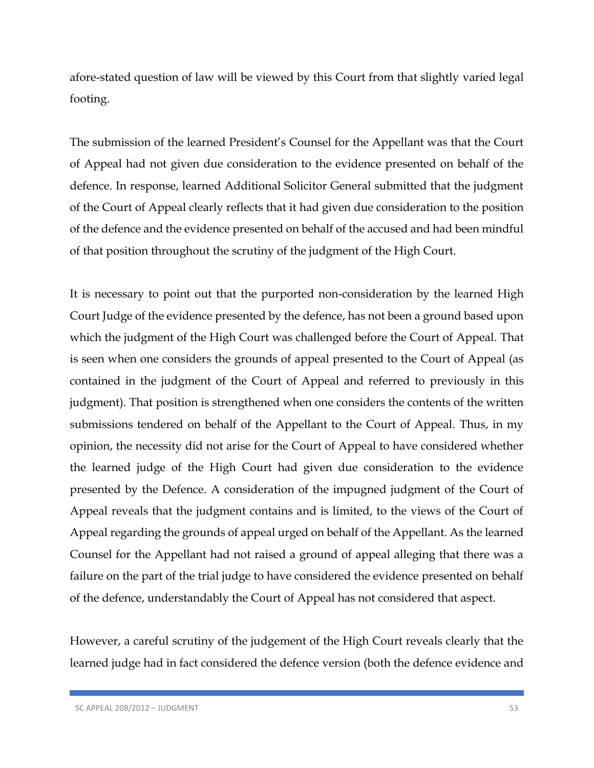afore-stated question of law will be viewed by this Court from that slightly varied legal footing.

The submission of the learned President's Counsel for the Appellant was that the Court of Appeal had not given due consideration to the evidence presented on behalf of the defence. In response, learned Additional Solicitor General submitted that the judgment of the Court of Appeal clearly reflects that it had given due consideration to the position of the defence and the evidence presented on behalf of the accused and had been mindful of that position throughout the scrutiny of the judgment of the High Court.

It is necessary to point out that the purported non-consideration by the learned High Court Judge of the evidence presented by the defence, has not been a ground based upon which the judgment of the High Court was challenged before the Court of Appeal. That is seen when one considers the grounds of appeal presented to the Court of Appeal (as contained in the judgment of the Court of Appeal and referred to previously in this judgment). That position is strengthened when one considers the contents of the written submissions tendered on behalf of the Appellant to the Court of Appeal. Thus, in my opinion, the necessity did not arise for the Court of Appeal to have considered whether the learned judge of the High Court had given due consideration to the evidence presented by the Defence. A consideration of the impugned judgment of the Court of Appeal reveals that the judgment contains and is limited, to the views of the Court of Appeal regarding the grounds of appeal urged on behalf of the Appellant. As the learned Counsel for the Appellant had not raised a ground of appeal alleging that there was a failure on the part of the trial judge to have considered the evidence presented on behalf of the defence, understandably the Court of Appeal has not considered that aspect.

However, a careful scrutiny of the judgement of the High Court reveals clearly that the learned judge had in fact considered the defence version (both the defence evidence and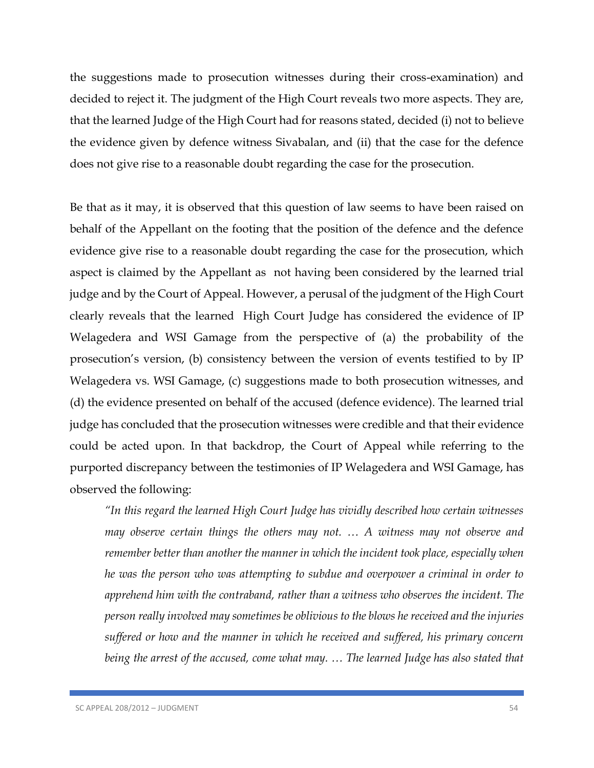the suggestions made to prosecution witnesses during their cross-examination) and decided to reject it. The judgment of the High Court reveals two more aspects. They are, that the learned Judge of the High Court had for reasons stated, decided (i) not to believe the evidence given by defence witness Sivabalan, and (ii) that the case for the defence does not give rise to a reasonable doubt regarding the case for the prosecution.

Be that as it may, it is observed that this question of law seems to have been raised on behalf of the Appellant on the footing that the position of the defence and the defence evidence give rise to a reasonable doubt regarding the case for the prosecution, which aspect is claimed by the Appellant as not having been considered by the learned trial judge and by the Court of Appeal. However, a perusal of the judgment of the High Court clearly reveals that the learned High Court Judge has considered the evidence of IP Welagedera and WSI Gamage from the perspective of (a) the probability of the prosecution's version, (b) consistency between the version of events testified to by IP Welagedera vs. WSI Gamage, (c) suggestions made to both prosecution witnesses, and (d) the evidence presented on behalf of the accused (defence evidence). The learned trial judge has concluded that the prosecution witnesses were credible and that their evidence could be acted upon. In that backdrop, the Court of Appeal while referring to the purported discrepancy between the testimonies of IP Welagedera and WSI Gamage, has observed the following:

*"In this regard the learned High Court Judge has vividly described how certain witnesses may observe certain things the others may not. … A witness may not observe and remember better than another the manner in which the incident took place, especially when he was the person who was attempting to subdue and overpower a criminal in order to apprehend him with the contraband, rather than a witness who observes the incident. The person really involved may sometimes be oblivious to the blows he received and the injuries suffered or how and the manner in which he received and suffered, his primary concern being the arrest of the accused, come what may. … The learned Judge has also stated that*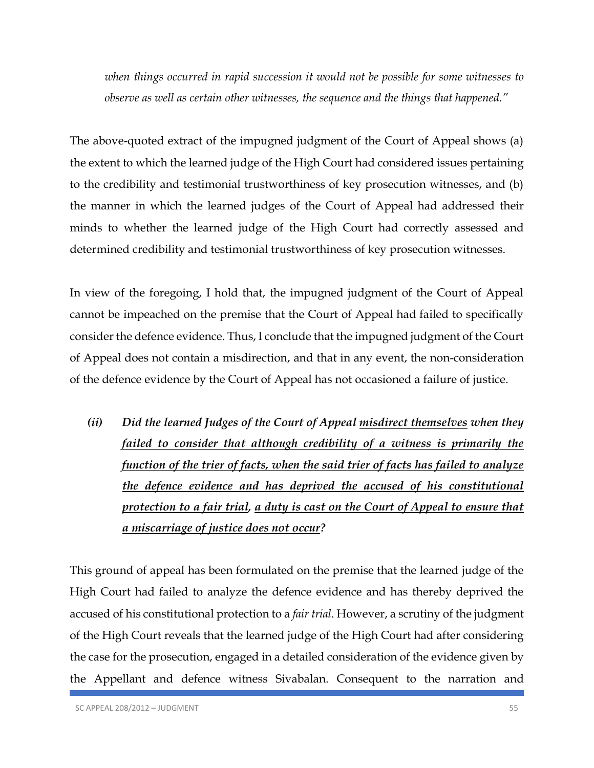*when things occurred in rapid succession it would not be possible for some witnesses to observe as well as certain other witnesses, the sequence and the things that happened."*

The above-quoted extract of the impugned judgment of the Court of Appeal shows (a) the extent to which the learned judge of the High Court had considered issues pertaining to the credibility and testimonial trustworthiness of key prosecution witnesses, and (b) the manner in which the learned judges of the Court of Appeal had addressed their minds to whether the learned judge of the High Court had correctly assessed and determined credibility and testimonial trustworthiness of key prosecution witnesses.

In view of the foregoing, I hold that, the impugned judgment of the Court of Appeal cannot be impeached on the premise that the Court of Appeal had failed to specifically consider the defence evidence. Thus, I conclude that the impugned judgment of the Court of Appeal does not contain a misdirection, and that in any event, the non-consideration of the defence evidence by the Court of Appeal has not occasioned a failure of justice.

*(ii) Did the learned Judges of the Court of Appeal misdirect themselves when they failed to consider that although credibility of a witness is primarily the function of the trier of facts, when the said trier of facts has failed to analyze the defence evidence and has deprived the accused of his constitutional protection to a fair trial, a duty is cast on the Court of Appeal to ensure that a miscarriage of justice does not occur?*

This ground of appeal has been formulated on the premise that the learned judge of the High Court had failed to analyze the defence evidence and has thereby deprived the accused of his constitutional protection to a *fair trial*. However, a scrutiny of the judgment of the High Court reveals that the learned judge of the High Court had after considering the case for the prosecution, engaged in a detailed consideration of the evidence given by the Appellant and defence witness Sivabalan. Consequent to the narration and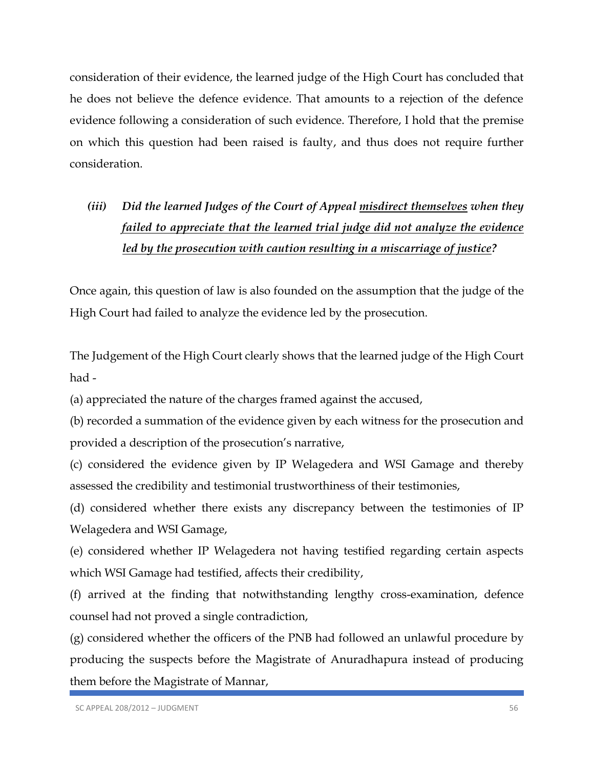consideration of their evidence, the learned judge of the High Court has concluded that he does not believe the defence evidence. That amounts to a rejection of the defence evidence following a consideration of such evidence. Therefore, I hold that the premise on which this question had been raised is faulty, and thus does not require further consideration.

# *(iii) Did the learned Judges of the Court of Appeal misdirect themselves when they failed to appreciate that the learned trial judge did not analyze the evidence led by the prosecution with caution resulting in a miscarriage of justice?*

Once again, this question of law is also founded on the assumption that the judge of the High Court had failed to analyze the evidence led by the prosecution.

The Judgement of the High Court clearly shows that the learned judge of the High Court had -

(a) appreciated the nature of the charges framed against the accused,

(b) recorded a summation of the evidence given by each witness for the prosecution and provided a description of the prosecution's narrative,

(c) considered the evidence given by IP Welagedera and WSI Gamage and thereby assessed the credibility and testimonial trustworthiness of their testimonies,

(d) considered whether there exists any discrepancy between the testimonies of IP Welagedera and WSI Gamage,

(e) considered whether IP Welagedera not having testified regarding certain aspects which WSI Gamage had testified, affects their credibility,

(f) arrived at the finding that notwithstanding lengthy cross-examination, defence counsel had not proved a single contradiction,

(g) considered whether the officers of the PNB had followed an unlawful procedure by producing the suspects before the Magistrate of Anuradhapura instead of producing them before the Magistrate of Mannar,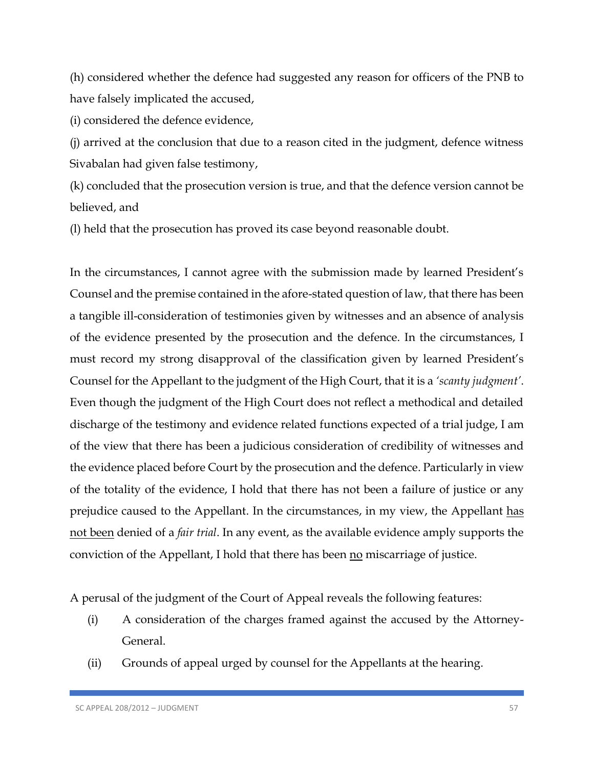(h) considered whether the defence had suggested any reason for officers of the PNB to have falsely implicated the accused,

(i) considered the defence evidence,

(j) arrived at the conclusion that due to a reason cited in the judgment, defence witness Sivabalan had given false testimony,

(k) concluded that the prosecution version is true, and that the defence version cannot be believed, and

(l) held that the prosecution has proved its case beyond reasonable doubt.

In the circumstances, I cannot agree with the submission made by learned President's Counsel and the premise contained in the afore-stated question of law, that there has been a tangible ill-consideration of testimonies given by witnesses and an absence of analysis of the evidence presented by the prosecution and the defence. In the circumstances, I must record my strong disapproval of the classification given by learned President's Counsel for the Appellant to the judgment of the High Court, that it is a *'scanty judgment'*. Even though the judgment of the High Court does not reflect a methodical and detailed discharge of the testimony and evidence related functions expected of a trial judge, I am of the view that there has been a judicious consideration of credibility of witnesses and the evidence placed before Court by the prosecution and the defence. Particularly in view of the totality of the evidence, I hold that there has not been a failure of justice or any prejudice caused to the Appellant. In the circumstances, in my view, the Appellant has not been denied of a *fair trial*. In any event, as the available evidence amply supports the conviction of the Appellant, I hold that there has been no miscarriage of justice.

A perusal of the judgment of the Court of Appeal reveals the following features:

- (i) A consideration of the charges framed against the accused by the Attorney-General.
- (ii) Grounds of appeal urged by counsel for the Appellants at the hearing.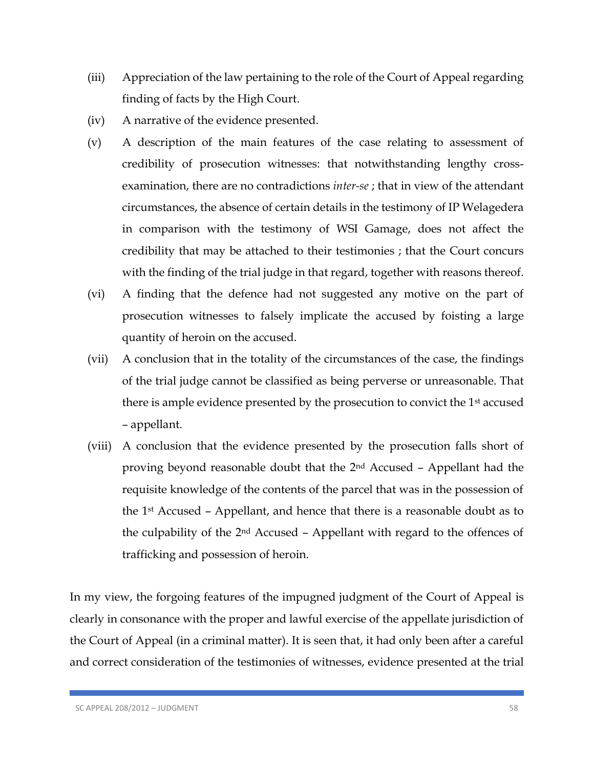- (iii) Appreciation of the law pertaining to the role of the Court of Appeal regarding finding of facts by the High Court.
- (iv) A narrative of the evidence presented.
- (v) A description of the main features of the case relating to assessment of credibility of prosecution witnesses: that notwithstanding lengthy crossexamination, there are no contradictions *inter-se* ; that in view of the attendant circumstances, the absence of certain details in the testimony of IP Welagedera in comparison with the testimony of WSI Gamage, does not affect the credibility that may be attached to their testimonies ; that the Court concurs with the finding of the trial judge in that regard, together with reasons thereof.
- (vi) A finding that the defence had not suggested any motive on the part of prosecution witnesses to falsely implicate the accused by foisting a large quantity of heroin on the accused.
- (vii) A conclusion that in the totality of the circumstances of the case, the findings of the trial judge cannot be classified as being perverse or unreasonable. That there is ample evidence presented by the prosecution to convict the 1<sup>st</sup> accused – appellant.
- (viii) A conclusion that the evidence presented by the prosecution falls short of proving beyond reasonable doubt that the 2nd Accused – Appellant had the requisite knowledge of the contents of the parcel that was in the possession of the 1st Accused – Appellant, and hence that there is a reasonable doubt as to the culpability of the 2nd Accused – Appellant with regard to the offences of trafficking and possession of heroin.

In my view, the forgoing features of the impugned judgment of the Court of Appeal is clearly in consonance with the proper and lawful exercise of the appellate jurisdiction of the Court of Appeal (in a criminal matter). It is seen that, it had only been after a careful and correct consideration of the testimonies of witnesses, evidence presented at the trial